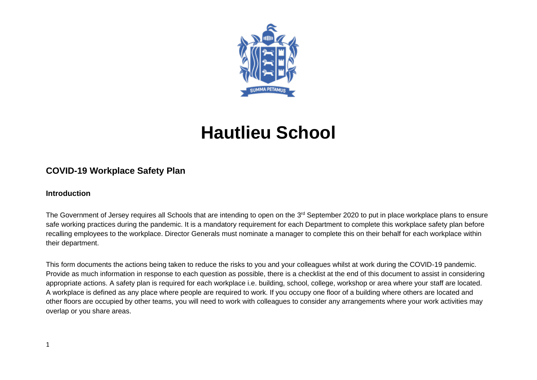

# **Hautlieu School**

## **COVID-19 Workplace Safety Plan**

#### **Introduction**

The Government of Jersey requires all Schools that are intending to open on the 3<sup>rd</sup> September 2020 to put in place workplace plans to ensure safe working practices during the pandemic. It is a mandatory requirement for each Department to complete this workplace safety plan before recalling employees to the workplace. Director Generals must nominate a manager to complete this on their behalf for each workplace within their department.

This form documents the actions being taken to reduce the risks to you and your colleagues whilst at work during the COVID-19 pandemic. Provide as much information in response to each question as possible, there is a checklist at the end of this document to assist in considering appropriate actions. A safety plan is required for each workplace i.e. building, school, college, workshop or area where your staff are located. A workplace is defined as any place where people are required to work. If you occupy one floor of a building where others are located and other floors are occupied by other teams, you will need to work with colleagues to consider any arrangements where your work activities may overlap or you share areas.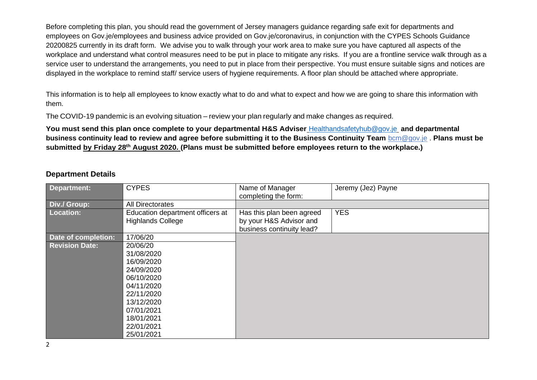Before completing this plan, you should read the government of Jersey managers guidance regarding safe exit for departments and employees on Gov.je/employees and business advice provided on Gov.je/coronavirus, in conjunction with the CYPES Schools Guidance 20200825 currently in its draft form. We advise you to walk through your work area to make sure you have captured all aspects of the workplace and understand what control measures need to be put in place to mitigate any risks. If you are a frontline service walk through as a service user to understand the arrangements, you need to put in place from their perspective. You must ensure suitable signs and notices are displayed in the workplace to remind staff/ service users of hygiene requirements. A floor plan should be attached where appropriate.

This information is to help all employees to know exactly what to do and what to expect and how we are going to share this information with them.

The COVID-19 pandemic is an evolving situation – review your plan regularly and make changes as required.

**You must send this plan once complete to your departmental H&S Adviser** [Healthandsafetyhub@gov.je](mailto:Healthandsafetyhub@gov.je) **and departmental business continuity lead to review and agree before submitting it to the Business Continuity Team** [bcm@gov.je](mailto:bcm@gov.je) . **Plans must be submitted by Friday 28th August 2020. (Plans must be submitted before employees return to the workplace.)**

#### **Department Details**

| <b>Department:</b>    | <b>CYPES</b>                                                 | Name of Manager<br>completing the form:                                           | Jeremy (Jez) Payne |
|-----------------------|--------------------------------------------------------------|-----------------------------------------------------------------------------------|--------------------|
| Div./ Group:          | <b>All Directorates</b>                                      |                                                                                   |                    |
| <b>Location:</b>      | Education department officers at<br><b>Highlands College</b> | Has this plan been agreed<br>by your H&S Advisor and<br>business continuity lead? | <b>YES</b>         |
| Date of completion:   | 17/06/20                                                     |                                                                                   |                    |
| <b>Revision Date:</b> | 20/06/20                                                     |                                                                                   |                    |
|                       | 31/08/2020                                                   |                                                                                   |                    |
|                       | 16/09/2020                                                   |                                                                                   |                    |
|                       | 24/09/2020                                                   |                                                                                   |                    |
|                       | 06/10/2020                                                   |                                                                                   |                    |
|                       | 04/11/2020                                                   |                                                                                   |                    |
|                       | 22/11/2020                                                   |                                                                                   |                    |
|                       | 13/12/2020                                                   |                                                                                   |                    |
|                       | 07/01/2021                                                   |                                                                                   |                    |
|                       | 18/01/2021                                                   |                                                                                   |                    |
|                       | 22/01/2021                                                   |                                                                                   |                    |
|                       | 25/01/2021                                                   |                                                                                   |                    |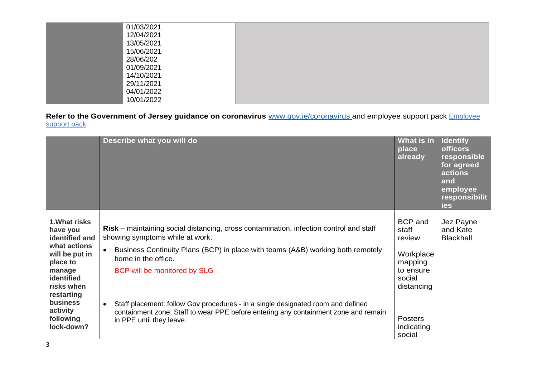| 01/03/2021 |  |
|------------|--|
| 12/04/2021 |  |
| 13/05/2021 |  |
| 15/06/2021 |  |
| 28/06/202  |  |
| 01/09/2021 |  |
| 14/10/2021 |  |
| 29/11/2021 |  |
| 04/01/2022 |  |
| 10/01/2022 |  |

**Refer to the Government of Jersey guidance on coronavirus** [www.gov.je/coronavirus](about:blank) and employee support pack [Employee](about:blank)  [support pack](about:blank)

|                                                                                                                                                                                                  | Describe what you will do                                                                                                                                                                                                                                                                                                                                                                                                                                                                      | What is in<br>place<br>already                                                                                                            | <b>Identify</b><br><b>officers</b><br>responsible<br>for agreed<br>actions<br>and<br>employee<br><b>responsibilit</b><br>ies |
|--------------------------------------------------------------------------------------------------------------------------------------------------------------------------------------------------|------------------------------------------------------------------------------------------------------------------------------------------------------------------------------------------------------------------------------------------------------------------------------------------------------------------------------------------------------------------------------------------------------------------------------------------------------------------------------------------------|-------------------------------------------------------------------------------------------------------------------------------------------|------------------------------------------------------------------------------------------------------------------------------|
| 1. What risks<br>have you<br>identified and<br>what actions<br>will be put in<br>place to<br>manage<br>identified<br>risks when<br>restarting<br>business<br>activity<br>following<br>lock-down? | <b>Risk</b> – maintaining social distancing, cross contamination, infection control and staff<br>showing symptoms while at work.<br>Business Continuity Plans (BCP) in place with teams (A&B) working both remotely<br>home in the office.<br>BCP will be monitored by SLG<br>Staff placement: follow Gov procedures - in a single designated room and defined<br>$\bullet$<br>containment zone. Staff to wear PPE before entering any containment zone and remain<br>in PPE until they leave. | <b>BCP</b> and<br>staff<br>review.<br>Workplace<br>mapping<br>to ensure<br>social<br>distancing<br><b>Posters</b><br>indicating<br>social | Jez Payne<br>and Kate<br><b>Blackhall</b>                                                                                    |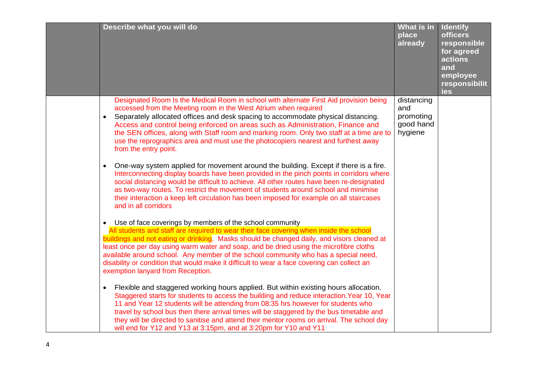| Describe what you will do                                                                                                                                                                                                                                                                                                                                                                                                                                                                                                                                               | What is in<br>place<br>already                         | <b>Identify</b><br><b>officers</b><br>responsible<br>for agreed<br>actions<br>and<br>employee<br>responsibilit<br>ies |
|-------------------------------------------------------------------------------------------------------------------------------------------------------------------------------------------------------------------------------------------------------------------------------------------------------------------------------------------------------------------------------------------------------------------------------------------------------------------------------------------------------------------------------------------------------------------------|--------------------------------------------------------|-----------------------------------------------------------------------------------------------------------------------|
| Designated Room Is the Medical Room in school with alternate First Aid provision being<br>accessed from the Meeting room in the West Atrium when required<br>Separately allocated offices and desk spacing to accommodate physical distancing.<br>$\bullet$<br>Access and control being enforced on areas such as Administration, Finance and<br>the SEN offices, along with Staff room and marking room. Only two staff at a time are to<br>use the reprographics area and must use the photocopiers nearest and furthest away<br>from the entry point.                | distancing<br>and<br>promoting<br>good hand<br>hygiene |                                                                                                                       |
| One-way system applied for movement around the building. Except if there is a fire.<br>$\bullet$<br>Interconnecting display boards have been provided in the pinch points in corridors where<br>social distancing would be difficult to achieve. All other routes have been re-designated<br>as two-way routes. To restrict the movement of students around school and minimise<br>their interaction a keep left circulation has been imposed for example on all staircases<br>and in all corridors                                                                     |                                                        |                                                                                                                       |
| • Use of face coverings by members of the school community<br>All students and staff are required to wear their face covering when inside the school<br>buildings and not eating or drinking. Masks should be changed daily, and visors cleaned at<br>least once per day using warm water and soap, and be dried using the microfibre cloths<br>available around school. Any member of the school community who has a special need,<br>disability or condition that would make it difficult to wear a face covering can collect an<br>exemption lanyard from Reception. |                                                        |                                                                                                                       |
| • Flexible and staggered working hours applied. But within existing hours allocation.<br>Staggered starts for students to access the building and reduce interaction. Year 10, Year<br>11 and Year 12 students will be attending from 08:35 hrs however for students who<br>travel by school bus then there arrival times will be staggered by the bus timetable and<br>they will be directed to sanitise and attend their mentor rooms on arrival. The school day<br>will end for Y12 and Y13 at 3:15pm, and at 3:20pm for Y10 and Y11                                 |                                                        |                                                                                                                       |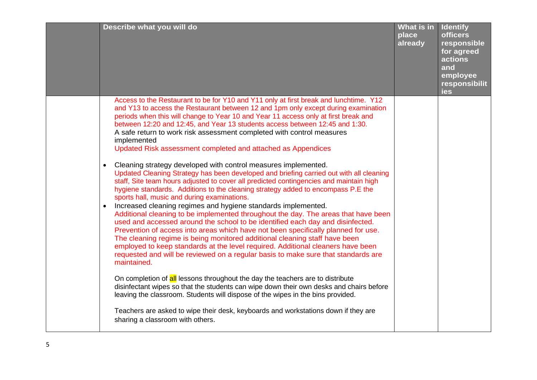| Describe what you will do                                                                                                                                                                                                                                                                                                                                                                                                                                                                                                                                                                                                                                                                                                                                                                                                                                                                                                                                                                                                                                                                                                                                                                                                                                                                                                                                                                                                                                                                                                                                                                                                                                                                                                                                                                                                                                                                                                   | What is in<br>place<br>already | <b>Identify</b><br><b>officers</b><br>responsible<br>for agreed<br>actions<br>and<br>employee<br>responsibilit<br>ies |
|-----------------------------------------------------------------------------------------------------------------------------------------------------------------------------------------------------------------------------------------------------------------------------------------------------------------------------------------------------------------------------------------------------------------------------------------------------------------------------------------------------------------------------------------------------------------------------------------------------------------------------------------------------------------------------------------------------------------------------------------------------------------------------------------------------------------------------------------------------------------------------------------------------------------------------------------------------------------------------------------------------------------------------------------------------------------------------------------------------------------------------------------------------------------------------------------------------------------------------------------------------------------------------------------------------------------------------------------------------------------------------------------------------------------------------------------------------------------------------------------------------------------------------------------------------------------------------------------------------------------------------------------------------------------------------------------------------------------------------------------------------------------------------------------------------------------------------------------------------------------------------------------------------------------------------|--------------------------------|-----------------------------------------------------------------------------------------------------------------------|
| Access to the Restaurant to be for Y10 and Y11 only at first break and lunchtime. Y12<br>and Y13 to access the Restaurant between 12 and 1pm only except during examination<br>periods when this will change to Year 10 and Year 11 access only at first break and<br>between 12:20 and 12:45, and Year 13 students access between 12:45 and 1:30.<br>A safe return to work risk assessment completed with control measures<br>implemented<br>Updated Risk assessment completed and attached as Appendices<br>Cleaning strategy developed with control measures implemented.<br>$\bullet$<br>Updated Cleaning Strategy has been developed and briefing carried out with all cleaning<br>staff, Site team hours adjusted to cover all predicted contingencies and maintain high<br>hygiene standards. Additions to the cleaning strategy added to encompass P.E the<br>sports hall, music and during examinations.<br>Increased cleaning regimes and hygiene standards implemented.<br>$\bullet$<br>Additional cleaning to be implemented throughout the day. The areas that have been<br>used and accessed around the school to be identified each day and disinfected.<br>Prevention of access into areas which have not been specifically planned for use.<br>The cleaning regime is being monitored additional cleaning staff have been<br>employed to keep standards at the level required. Additional cleaners have been<br>requested and will be reviewed on a regular basis to make sure that standards are<br>maintained.<br>On completion of all lessons throughout the day the teachers are to distribute<br>disinfectant wipes so that the students can wipe down their own desks and chairs before<br>leaving the classroom. Students will dispose of the wipes in the bins provided.<br>Teachers are asked to wipe their desk, keyboards and workstations down if they are<br>sharing a classroom with others. |                                |                                                                                                                       |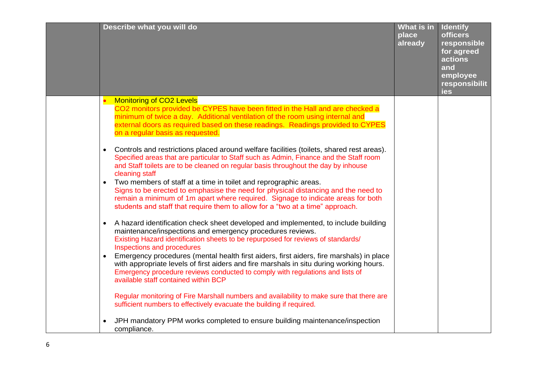| Describe what you will do                                                                                                                                                                                                                                                                                                                                                                                                                                                                                                                                                                                                                         | What is in<br>place<br>already | <b>Identify</b><br><b>officers</b><br>responsible<br>for agreed<br>actions<br>and<br>employee<br>responsibilit<br>ies |
|---------------------------------------------------------------------------------------------------------------------------------------------------------------------------------------------------------------------------------------------------------------------------------------------------------------------------------------------------------------------------------------------------------------------------------------------------------------------------------------------------------------------------------------------------------------------------------------------------------------------------------------------------|--------------------------------|-----------------------------------------------------------------------------------------------------------------------|
| <b>Monitoring of CO2 Levels</b><br>CO2 monitors provided be CYPES have been fitted in the Hall and are checked a<br>minimum of twice a day. Additional ventilation of the room using internal and<br>external doors as required based on these readings. Readings provided to CYPES<br>on a regular basis as requested.                                                                                                                                                                                                                                                                                                                           |                                |                                                                                                                       |
| Controls and restrictions placed around welfare facilities (toilets, shared rest areas).<br>$\bullet$<br>Specified areas that are particular to Staff such as Admin, Finance and the Staff room<br>and Staff toilets are to be cleaned on regular basis throughout the day by inhouse<br>cleaning staff<br>Two members of staff at a time in toilet and reprographic areas.<br>$\bullet$<br>Signs to be erected to emphasise the need for physical distancing and the need to<br>remain a minimum of 1m apart where required. Signage to indicate areas for both<br>students and staff that require them to allow for a "two at a time" approach. |                                |                                                                                                                       |
| A hazard identification check sheet developed and implemented, to include building<br>$\bullet$<br>maintenance/inspections and emergency procedures reviews.<br>Existing Hazard identification sheets to be repurposed for reviews of standards/<br>Inspections and procedures                                                                                                                                                                                                                                                                                                                                                                    |                                |                                                                                                                       |
| Emergency procedures (mental health first aiders, first aiders, fire marshals) in place<br>with appropriate levels of first aiders and fire marshals in situ during working hours.<br>Emergency procedure reviews conducted to comply with regulations and lists of<br>available staff contained within BCP                                                                                                                                                                                                                                                                                                                                       |                                |                                                                                                                       |
| Regular monitoring of Fire Marshall numbers and availability to make sure that there are<br>sufficient numbers to effectively evacuate the building if required.                                                                                                                                                                                                                                                                                                                                                                                                                                                                                  |                                |                                                                                                                       |
| JPH mandatory PPM works completed to ensure building maintenance/inspection<br>compliance.                                                                                                                                                                                                                                                                                                                                                                                                                                                                                                                                                        |                                |                                                                                                                       |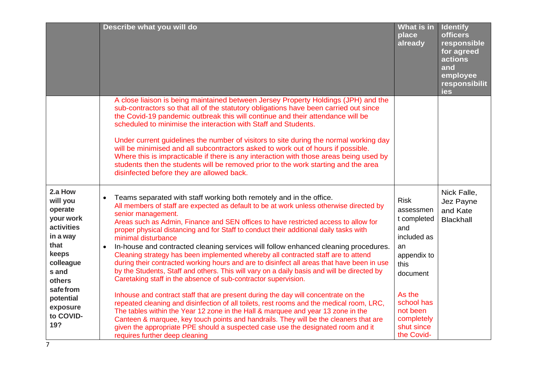|                                                                                                                                                                                 | Describe what you will do                                                                                                                                                                                                                                                                                                                                                                                                                                                                                                                                                                                                                                                                                                                                                                                                                                                                                                                                                                                                                                                                                                                                                                                                                                                                                                                            | What is in<br>place<br>already                                                                                                                                                       | <b>Identify</b><br><b>officers</b><br>responsible<br>for agreed<br>actions<br>and<br>employee<br>responsibilit<br>ies |
|---------------------------------------------------------------------------------------------------------------------------------------------------------------------------------|------------------------------------------------------------------------------------------------------------------------------------------------------------------------------------------------------------------------------------------------------------------------------------------------------------------------------------------------------------------------------------------------------------------------------------------------------------------------------------------------------------------------------------------------------------------------------------------------------------------------------------------------------------------------------------------------------------------------------------------------------------------------------------------------------------------------------------------------------------------------------------------------------------------------------------------------------------------------------------------------------------------------------------------------------------------------------------------------------------------------------------------------------------------------------------------------------------------------------------------------------------------------------------------------------------------------------------------------------|--------------------------------------------------------------------------------------------------------------------------------------------------------------------------------------|-----------------------------------------------------------------------------------------------------------------------|
|                                                                                                                                                                                 | A close liaison is being maintained between Jersey Property Holdings (JPH) and the<br>sub-contractors so that all of the statutory obligations have been carried out since<br>the Covid-19 pandemic outbreak this will continue and their attendance will be<br>scheduled to minimise the interaction with Staff and Students.<br>Under current guidelines the number of visitors to site during the normal working day<br>will be minimised and all subcontractors asked to work out of hours if possible.<br>Where this is impracticable if there is any interaction with those areas being used by<br>students then the students will be removed prior to the work starting and the area<br>disinfected before they are allowed back.                                                                                                                                                                                                                                                                                                                                                                                                                                                                                                                                                                                                             |                                                                                                                                                                                      |                                                                                                                       |
| 2.a How<br>will you<br>operate<br>your work<br>activities<br>in a way<br>that<br>keeps<br>colleague<br>s and<br>others<br>safefrom<br>potential<br>exposure<br>to COVID-<br>19? | Teams separated with staff working both remotely and in the office.<br>$\bullet$<br>All members of staff are expected as default to be at work unless otherwise directed by<br>senior management.<br>Areas such as Admin, Finance and SEN offices to have restricted access to allow for<br>proper physical distancing and for Staff to conduct their additional daily tasks with<br>minimal disturbance<br>In-house and contracted cleaning services will follow enhanced cleaning procedures.<br>$\bullet$<br>Cleaning strategy has been implemented whereby all contracted staff are to attend<br>during their contracted working hours and are to disinfect all areas that have been in use<br>by the Students, Staff and others. This will vary on a daily basis and will be directed by<br>Caretaking staff in the absence of sub-contractor supervision.<br>Inhouse and contract staff that are present during the day will concentrate on the<br>repeated cleaning and disinfection of all toilets, rest rooms and the medical room, LRC,<br>The tables within the Year 12 zone in the Hall & marquee and year 13 zone in the<br>Canteen & marquee, key touch points and handrails. They will be the cleaners that are<br>given the appropriate PPE should a suspected case use the designated room and it<br>requires further deep cleaning | <b>Risk</b><br>assessmen<br>t completed<br>and<br>included as<br>an<br>appendix to<br>this<br>document<br>As the<br>school has<br>not been<br>completely<br>shut since<br>the Covid- | Nick Falle,<br>Jez Payne<br>and Kate<br><b>Blackhall</b>                                                              |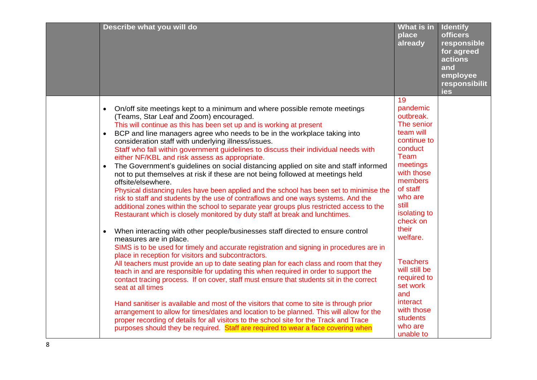| Describe what you will do                                                                                                                                                                                                                                                                                                                                                                                                                                                                                                                                                                                                                                                                                                                                                                                                                                                                                                                                                                                                                                                                                                                                                                                                                                                                                                                                                                                                                                                                                                                                                                                                                                                                                                                                                                                                                                                                                                                                                                                          | <b>What is in</b><br>place<br>already                                                                                                                                                                                                                                                                                                              | <b>Identify</b><br><b>officers</b><br>responsible<br>for agreed<br>actions<br>and<br>employee<br>responsibilit<br>ies |
|--------------------------------------------------------------------------------------------------------------------------------------------------------------------------------------------------------------------------------------------------------------------------------------------------------------------------------------------------------------------------------------------------------------------------------------------------------------------------------------------------------------------------------------------------------------------------------------------------------------------------------------------------------------------------------------------------------------------------------------------------------------------------------------------------------------------------------------------------------------------------------------------------------------------------------------------------------------------------------------------------------------------------------------------------------------------------------------------------------------------------------------------------------------------------------------------------------------------------------------------------------------------------------------------------------------------------------------------------------------------------------------------------------------------------------------------------------------------------------------------------------------------------------------------------------------------------------------------------------------------------------------------------------------------------------------------------------------------------------------------------------------------------------------------------------------------------------------------------------------------------------------------------------------------------------------------------------------------------------------------------------------------|----------------------------------------------------------------------------------------------------------------------------------------------------------------------------------------------------------------------------------------------------------------------------------------------------------------------------------------------------|-----------------------------------------------------------------------------------------------------------------------|
| On/off site meetings kept to a minimum and where possible remote meetings<br>$\bullet$<br>(Teams, Star Leaf and Zoom) encouraged.<br>This will continue as this has been set up and is working at present<br>BCP and line managers agree who needs to be in the workplace taking into<br>$\bullet$<br>consideration staff with underlying illness/issues.<br>Staff who fall within government guidelines to discuss their individual needs with<br>either NF/KBL and risk assess as appropriate.<br>The Government's guidelines on social distancing applied on site and staff informed<br>not to put themselves at risk if these are not being followed at meetings held<br>offsite/elsewhere.<br>Physical distancing rules have been applied and the school has been set to minimise the<br>risk to staff and students by the use of contraflows and one ways systems. And the<br>additional zones within the school to separate year groups plus restricted access to the<br>Restaurant which is closely monitored by duty staff at break and lunchtimes.<br>When interacting with other people/businesses staff directed to ensure control<br>$\bullet$<br>measures are in place.<br>SIMS is to be used for timely and accurate registration and signing in procedures are in<br>place in reception for visitors and subcontractors.<br>All teachers must provide an up to date seating plan for each class and room that they<br>teach in and are responsible for updating this when required in order to support the<br>contact tracing process. If on cover, staff must ensure that students sit in the correct<br>seat at all times<br>Hand sanitiser is available and most of the visitors that come to site is through prior<br>arrangement to allow for times/dates and location to be planned. This will allow for the<br>proper recording of details for all visitors to the school site for the Track and Trace<br>purposes should they be required. Staff are required to wear a face covering when | 19<br>pandemic<br>outbreak.<br>The senior<br>team will<br>continue to<br>conduct<br>Team<br>meetings<br>with those<br>members<br>of staff<br>who are<br>still<br>isolating to<br>check on<br>their<br>welfare.<br><b>Teachers</b><br>will still be<br>required to<br>set work<br>and<br>interact<br>with those<br>students<br>who are<br>unable to |                                                                                                                       |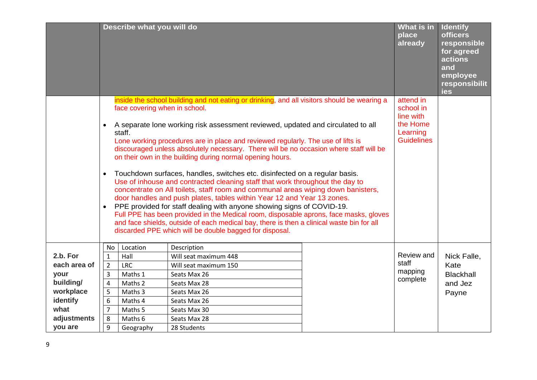|              |                                     | Describe what you will do               |                                                                                                                                                                                                                                                                                                                                                                                                                                                                                                                                                                                                                                                                                                                                                                                                                                                                                                                                                                                                                                                                                 | What is in<br>place<br>already                                                   | <b>Identify</b><br><b>officers</b><br>responsible<br>for agreed<br>actions<br>and<br>employee<br>responsibilit<br>ies |
|--------------|-------------------------------------|-----------------------------------------|---------------------------------------------------------------------------------------------------------------------------------------------------------------------------------------------------------------------------------------------------------------------------------------------------------------------------------------------------------------------------------------------------------------------------------------------------------------------------------------------------------------------------------------------------------------------------------------------------------------------------------------------------------------------------------------------------------------------------------------------------------------------------------------------------------------------------------------------------------------------------------------------------------------------------------------------------------------------------------------------------------------------------------------------------------------------------------|----------------------------------------------------------------------------------|-----------------------------------------------------------------------------------------------------------------------|
|              | $\bullet$<br>$\bullet$<br>$\bullet$ | face covering when in school.<br>staff. | inside the school building and not eating or drinking, and all visitors should be wearing a<br>A separate lone working risk assessment reviewed, updated and circulated to all<br>Lone working procedures are in place and reviewed regularly. The use of lifts is<br>discouraged unless absolutely necessary. There will be no occasion where staff will be<br>on their own in the building during normal opening hours.<br>Touchdown surfaces, handles, switches etc. disinfected on a regular basis.<br>Use of inhouse and contracted cleaning staff that work throughout the day to<br>concentrate on All toilets, staff room and communal areas wiping down banisters,<br>door handles and push plates, tables within Year 12 and Year 13 zones.<br>PPE provided for staff dealing with anyone showing signs of COVID-19.<br>Full PPE has been provided in the Medical room, disposable aprons, face masks, gloves<br>and face shields, outside of each medical bay, there is then a clinical waste bin for all<br>discarded PPE which will be double bagged for disposal. | attend in<br>school in<br>line with<br>the Home<br>Learning<br><b>Guidelines</b> |                                                                                                                       |
| 2.b. For     | No                                  | Location                                | Description                                                                                                                                                                                                                                                                                                                                                                                                                                                                                                                                                                                                                                                                                                                                                                                                                                                                                                                                                                                                                                                                     | Review and                                                                       |                                                                                                                       |
| each area of | $\mathbf 1$                         | Hall                                    | Will seat maximum 448                                                                                                                                                                                                                                                                                                                                                                                                                                                                                                                                                                                                                                                                                                                                                                                                                                                                                                                                                                                                                                                           | staff                                                                            | Nick Falle,                                                                                                           |
|              | $\overline{2}$                      | <b>LRC</b><br>Maths 1                   | Will seat maximum 150                                                                                                                                                                                                                                                                                                                                                                                                                                                                                                                                                                                                                                                                                                                                                                                                                                                                                                                                                                                                                                                           | mapping                                                                          | Kate                                                                                                                  |
| your         | 3                                   |                                         | Seats Max 26                                                                                                                                                                                                                                                                                                                                                                                                                                                                                                                                                                                                                                                                                                                                                                                                                                                                                                                                                                                                                                                                    | complete                                                                         | <b>Blackhall</b>                                                                                                      |
| building/    | $\overline{4}$                      | Maths 2                                 | Seats Max 28                                                                                                                                                                                                                                                                                                                                                                                                                                                                                                                                                                                                                                                                                                                                                                                                                                                                                                                                                                                                                                                                    |                                                                                  | and Jez                                                                                                               |
| workplace    | 5                                   | Maths 3                                 | Seats Max 26                                                                                                                                                                                                                                                                                                                                                                                                                                                                                                                                                                                                                                                                                                                                                                                                                                                                                                                                                                                                                                                                    |                                                                                  | Payne                                                                                                                 |
| identify     | 6                                   | Maths 4                                 | Seats Max 26                                                                                                                                                                                                                                                                                                                                                                                                                                                                                                                                                                                                                                                                                                                                                                                                                                                                                                                                                                                                                                                                    |                                                                                  |                                                                                                                       |
| what         | $\overline{7}$                      | Maths 5                                 | Seats Max 30                                                                                                                                                                                                                                                                                                                                                                                                                                                                                                                                                                                                                                                                                                                                                                                                                                                                                                                                                                                                                                                                    |                                                                                  |                                                                                                                       |
| adjustments  | 8                                   | Maths 6                                 | Seats Max 28                                                                                                                                                                                                                                                                                                                                                                                                                                                                                                                                                                                                                                                                                                                                                                                                                                                                                                                                                                                                                                                                    |                                                                                  |                                                                                                                       |
| you are      | 9                                   | Geography                               | 28 Students                                                                                                                                                                                                                                                                                                                                                                                                                                                                                                                                                                                                                                                                                                                                                                                                                                                                                                                                                                                                                                                                     |                                                                                  |                                                                                                                       |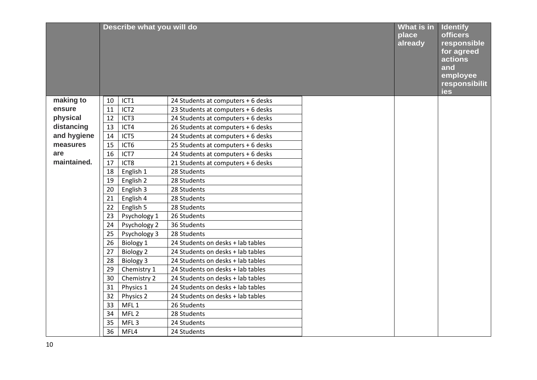|             |    | Describe what you will do |                                    | What is in<br>place<br>already | <b>Identify</b><br><b>officers</b><br>responsible<br>for agreed<br>actions<br>and<br>employee<br>responsibilit<br>ies |
|-------------|----|---------------------------|------------------------------------|--------------------------------|-----------------------------------------------------------------------------------------------------------------------|
| making to   | 10 | ICT1                      | 24 Students at computers + 6 desks |                                |                                                                                                                       |
| ensure      | 11 | ICT <sub>2</sub>          | 23 Students at computers + 6 desks |                                |                                                                                                                       |
| physical    | 12 | ICT <sub>3</sub>          | 24 Students at computers + 6 desks |                                |                                                                                                                       |
| distancing  | 13 | ICT4                      | 26 Students at computers + 6 desks |                                |                                                                                                                       |
| and hygiene | 14 | ICT5                      | 24 Students at computers + 6 desks |                                |                                                                                                                       |
| measures    | 15 | ICT6                      | 25 Students at computers + 6 desks |                                |                                                                                                                       |
| are         | 16 | ICT7                      | 24 Students at computers + 6 desks |                                |                                                                                                                       |
| maintained. | 17 | ICT8                      | 21 Students at computers + 6 desks |                                |                                                                                                                       |
|             | 18 | English 1                 | 28 Students                        |                                |                                                                                                                       |
|             | 19 | English 2                 | 28 Students                        |                                |                                                                                                                       |
|             | 20 | English 3                 | 28 Students                        |                                |                                                                                                                       |
|             | 21 | English 4                 | 28 Students                        |                                |                                                                                                                       |
|             | 22 | English 5                 | 28 Students                        |                                |                                                                                                                       |
|             | 23 | Psychology 1              | 26 Students                        |                                |                                                                                                                       |
|             | 24 | Psychology 2              | 36 Students                        |                                |                                                                                                                       |
|             | 25 | Psychology 3              | 28 Students                        |                                |                                                                                                                       |
|             | 26 | Biology 1                 | 24 Students on desks + lab tables  |                                |                                                                                                                       |
|             | 27 | <b>Biology 2</b>          | 24 Students on desks + lab tables  |                                |                                                                                                                       |
|             | 28 | <b>Biology 3</b>          | 24 Students on desks + lab tables  |                                |                                                                                                                       |
|             | 29 | Chemistry 1               | 24 Students on desks + lab tables  |                                |                                                                                                                       |
|             | 30 | Chemistry 2               | 24 Students on desks + lab tables  |                                |                                                                                                                       |
|             | 31 | Physics 1                 | 24 Students on desks + lab tables  |                                |                                                                                                                       |
|             | 32 | Physics 2                 | 24 Students on desks + lab tables  |                                |                                                                                                                       |
|             | 33 | MFL <sub>1</sub>          | 26 Students                        |                                |                                                                                                                       |
|             | 34 | MFL <sub>2</sub>          | 28 Students                        |                                |                                                                                                                       |
|             | 35 | MFL <sub>3</sub>          | 24 Students                        |                                |                                                                                                                       |
|             | 36 | MFL4                      | 24 Students                        |                                |                                                                                                                       |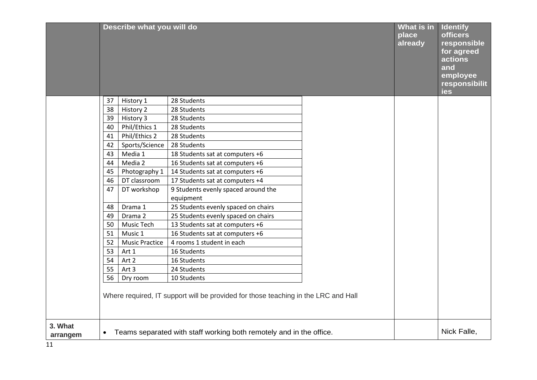|                     |           | Describe what you will do |                                                                                    | What is in<br>place<br>already | <b>Identify</b><br><b>officers</b><br>responsible<br>for agreed<br>actions<br>and<br>employee<br>responsibilit<br>ies |
|---------------------|-----------|---------------------------|------------------------------------------------------------------------------------|--------------------------------|-----------------------------------------------------------------------------------------------------------------------|
|                     | 37        | History 1                 | 28 Students                                                                        |                                |                                                                                                                       |
|                     | 38        | History 2                 | 28 Students                                                                        |                                |                                                                                                                       |
|                     | 39        | History 3                 | 28 Students                                                                        |                                |                                                                                                                       |
|                     | 40        | Phil/Ethics 1             | 28 Students                                                                        |                                |                                                                                                                       |
|                     | 41        | Phil/Ethics 2             | 28 Students                                                                        |                                |                                                                                                                       |
|                     | 42        | Sports/Science            | 28 Students                                                                        |                                |                                                                                                                       |
|                     | 43        | Media 1                   | 18 Students sat at computers +6                                                    |                                |                                                                                                                       |
|                     | 44        | Media 2                   | 16 Students sat at computers +6                                                    |                                |                                                                                                                       |
|                     | 45        | Photography 1             | 14 Students sat at computers +6                                                    |                                |                                                                                                                       |
|                     | 46        | DT classroom              | 17 Students sat at computers +4                                                    |                                |                                                                                                                       |
|                     | 47        | DT workshop               | 9 Students evenly spaced around the                                                |                                |                                                                                                                       |
|                     |           |                           | equipment                                                                          |                                |                                                                                                                       |
|                     | 48        | Drama 1                   | 25 Students evenly spaced on chairs                                                |                                |                                                                                                                       |
|                     | 49        | Drama 2                   | 25 Students evenly spaced on chairs                                                |                                |                                                                                                                       |
|                     | 50        | Music Tech                | 13 Students sat at computers +6                                                    |                                |                                                                                                                       |
|                     | 51        | Music 1                   | 16 Students sat at computers +6                                                    |                                |                                                                                                                       |
|                     | 52        | <b>Music Practice</b>     | 4 rooms 1 student in each                                                          |                                |                                                                                                                       |
|                     | 53        | Art 1                     | 16 Students                                                                        |                                |                                                                                                                       |
|                     | 54        | Art 2                     | 16 Students                                                                        |                                |                                                                                                                       |
|                     | 55        | Art 3                     | 24 Students                                                                        |                                |                                                                                                                       |
|                     | 56        | Dry room                  | 10 Students                                                                        |                                |                                                                                                                       |
|                     |           |                           | Where required, IT support will be provided for those teaching in the LRC and Hall |                                |                                                                                                                       |
| 3. What<br>arrangem | $\bullet$ |                           | Teams separated with staff working both remotely and in the office.                |                                | Nick Falle,                                                                                                           |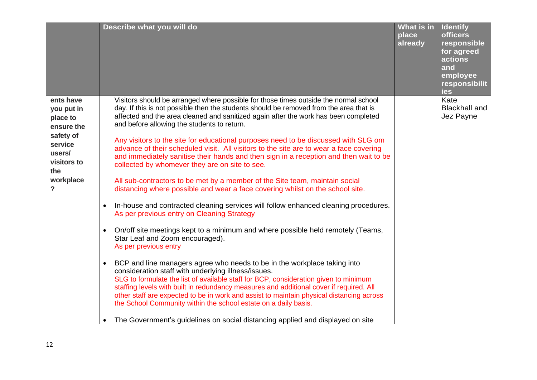|                                                                                                                                          |                                     | Describe what you will do                                                                                                                                                                                                                                                                                                                                                                                                                                                                                                                                                                                                                                                                                                                                                                                                                                                                                                                                                                                                                                                                                                                                                                                                                                                                                                                                                                                                                                                                                                                                                                                                                                                  | What is in<br>place<br>already | <b>Identify</b><br><b>officers</b><br>responsible<br>for agreed<br>actions<br>and<br>employee<br>responsibilit<br>ies |
|------------------------------------------------------------------------------------------------------------------------------------------|-------------------------------------|----------------------------------------------------------------------------------------------------------------------------------------------------------------------------------------------------------------------------------------------------------------------------------------------------------------------------------------------------------------------------------------------------------------------------------------------------------------------------------------------------------------------------------------------------------------------------------------------------------------------------------------------------------------------------------------------------------------------------------------------------------------------------------------------------------------------------------------------------------------------------------------------------------------------------------------------------------------------------------------------------------------------------------------------------------------------------------------------------------------------------------------------------------------------------------------------------------------------------------------------------------------------------------------------------------------------------------------------------------------------------------------------------------------------------------------------------------------------------------------------------------------------------------------------------------------------------------------------------------------------------------------------------------------------------|--------------------------------|-----------------------------------------------------------------------------------------------------------------------|
| ents have<br>you put in<br>place to<br>ensure the<br>safety of<br>service<br>users/<br>visitors to<br>the<br>workplace<br>$\overline{?}$ | $\bullet$<br>$\bullet$<br>$\bullet$ | Visitors should be arranged where possible for those times outside the normal school<br>day. If this is not possible then the students should be removed from the area that is<br>affected and the area cleaned and sanitized again after the work has been completed<br>and before allowing the students to return.<br>Any visitors to the site for educational purposes need to be discussed with SLG om<br>advance of their scheduled visit. All visitors to the site are to wear a face covering<br>and immediately sanitise their hands and then sign in a reception and then wait to be<br>collected by whomever they are on site to see.<br>All sub-contractors to be met by a member of the Site team, maintain social<br>distancing where possible and wear a face covering whilst on the school site.<br>In-house and contracted cleaning services will follow enhanced cleaning procedures.<br>As per previous entry on Cleaning Strategy<br>On/off site meetings kept to a minimum and where possible held remotely (Teams,<br>Star Leaf and Zoom encouraged).<br>As per previous entry<br>BCP and line managers agree who needs to be in the workplace taking into<br>consideration staff with underlying illness/issues.<br>SLG to formulate the list of available staff for BCP, consideration given to minimum<br>staffing levels with built in redundancy measures and additional cover if required. All<br>other staff are expected to be in work and assist to maintain physical distancing across<br>the School Community within the school estate on a daily basis.<br>The Government's guidelines on social distancing applied and displayed on site |                                | Kate<br><b>Blackhall and</b><br>Jez Payne                                                                             |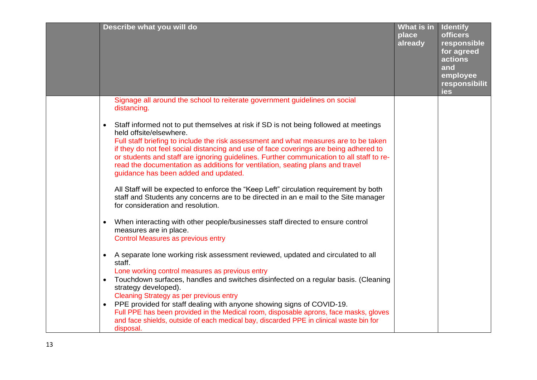| Describe what you will do                                                                                                                                                                                                                                                                                                                                                                                                                                                                                                                                                                                                  | What is in<br>place<br>already | <b>Identify</b><br><b>officers</b><br>responsible<br>for agreed<br>actions<br>and<br>employee<br>responsibilit<br>ies |
|----------------------------------------------------------------------------------------------------------------------------------------------------------------------------------------------------------------------------------------------------------------------------------------------------------------------------------------------------------------------------------------------------------------------------------------------------------------------------------------------------------------------------------------------------------------------------------------------------------------------------|--------------------------------|-----------------------------------------------------------------------------------------------------------------------|
| Signage all around the school to reiterate government guidelines on social<br>distancing.                                                                                                                                                                                                                                                                                                                                                                                                                                                                                                                                  |                                |                                                                                                                       |
| Staff informed not to put themselves at risk if SD is not being followed at meetings<br>$\bullet$<br>held offsite/elsewhere.<br>Full staff briefing to include the risk assessment and what measures are to be taken<br>if they do not feel social distancing and use of face coverings are being adhered to<br>or students and staff are ignoring guidelines. Further communication to all staff to re-<br>read the documentation as additions for ventilation, seating plans and travel<br>guidance has been added and updated.<br>All Staff will be expected to enforce the "Keep Left" circulation requirement by both |                                |                                                                                                                       |
| staff and Students any concerns are to be directed in an e mail to the Site manager<br>for consideration and resolution.                                                                                                                                                                                                                                                                                                                                                                                                                                                                                                   |                                |                                                                                                                       |
| When interacting with other people/businesses staff directed to ensure control<br>$\bullet$<br>measures are in place.<br><b>Control Measures as previous entry</b>                                                                                                                                                                                                                                                                                                                                                                                                                                                         |                                |                                                                                                                       |
| A separate lone working risk assessment reviewed, updated and circulated to all<br>$\bullet$<br>staff.                                                                                                                                                                                                                                                                                                                                                                                                                                                                                                                     |                                |                                                                                                                       |
| Lone working control measures as previous entry<br>Touchdown surfaces, handles and switches disinfected on a regular basis. (Cleaning<br>strategy developed).<br><b>Cleaning Strategy as per previous entry</b>                                                                                                                                                                                                                                                                                                                                                                                                            |                                |                                                                                                                       |
| PPE provided for staff dealing with anyone showing signs of COVID-19.<br>Full PPE has been provided in the Medical room, disposable aprons, face masks, gloves<br>and face shields, outside of each medical bay, discarded PPE in clinical waste bin for<br>disposal.                                                                                                                                                                                                                                                                                                                                                      |                                |                                                                                                                       |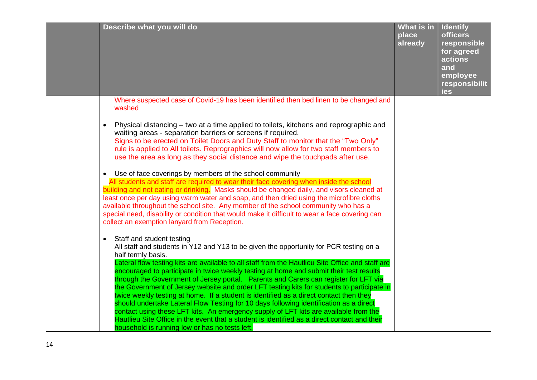| Describe what you will do                                                                                                                                                                                                                                                                                                                                                                                                                                                                                                                                                                                                                                                                                                                                                                                                                                                                                                                                                                                                                                                                                                                                                                                                                                                                                                                                                                                                                                                                                                                                                                                                                                                                                                                                                                                                                                                                                                                                                                    | What is in<br>place<br>already | <b>Identify</b><br><b>officers</b><br>responsible<br>for agreed<br>actions<br>and<br>employee<br>responsibilit<br>ies |
|----------------------------------------------------------------------------------------------------------------------------------------------------------------------------------------------------------------------------------------------------------------------------------------------------------------------------------------------------------------------------------------------------------------------------------------------------------------------------------------------------------------------------------------------------------------------------------------------------------------------------------------------------------------------------------------------------------------------------------------------------------------------------------------------------------------------------------------------------------------------------------------------------------------------------------------------------------------------------------------------------------------------------------------------------------------------------------------------------------------------------------------------------------------------------------------------------------------------------------------------------------------------------------------------------------------------------------------------------------------------------------------------------------------------------------------------------------------------------------------------------------------------------------------------------------------------------------------------------------------------------------------------------------------------------------------------------------------------------------------------------------------------------------------------------------------------------------------------------------------------------------------------------------------------------------------------------------------------------------------------|--------------------------------|-----------------------------------------------------------------------------------------------------------------------|
| Where suspected case of Covid-19 has been identified then bed linen to be changed and<br>washed                                                                                                                                                                                                                                                                                                                                                                                                                                                                                                                                                                                                                                                                                                                                                                                                                                                                                                                                                                                                                                                                                                                                                                                                                                                                                                                                                                                                                                                                                                                                                                                                                                                                                                                                                                                                                                                                                              |                                |                                                                                                                       |
| Physical distancing – two at a time applied to toilets, kitchens and reprographic and<br>$\bullet$<br>waiting areas - separation barriers or screens if required.<br>Signs to be erected on Toilet Doors and Duty Staff to monitor that the "Two Only"<br>rule is applied to All toilets. Reprographics will now allow for two staff members to<br>use the area as long as they social distance and wipe the touchpads after use.<br>• Use of face coverings by members of the school community<br>All students and staff are required to wear their face covering when inside the school<br>building and not eating or drinking. Masks should be changed daily, and visors cleaned at<br>least once per day using warm water and soap, and then dried using the microfibre cloths<br>available throughout the school site. Any member of the school community who has a<br>special need, disability or condition that would make it difficult to wear a face covering can<br>collect an exemption lanyard from Reception.<br>• Staff and student testing<br>All staff and students in Y12 and Y13 to be given the opportunity for PCR testing on a<br>half termly basis.<br>Lateral flow testing kits are available to all staff from the Hautlieu Site Office and staff are<br>encouraged to participate in twice weekly testing at home and submit their test results<br>through the Government of Jersey portal. Parents and Carers can register for LFT via<br>the Government of Jersey website and order LFT testing kits for students to participate in<br>twice weekly testing at home. If a student is identified as a direct contact then they<br>should undertake Lateral Flow Testing for 10 days following identification as a direct<br>contact using these LFT kits. An emergency supply of LFT kits are available from the<br>Hautlieu Site Office in the event that a student is identified as a direct contact and their<br>household is running low or has no tests left. |                                |                                                                                                                       |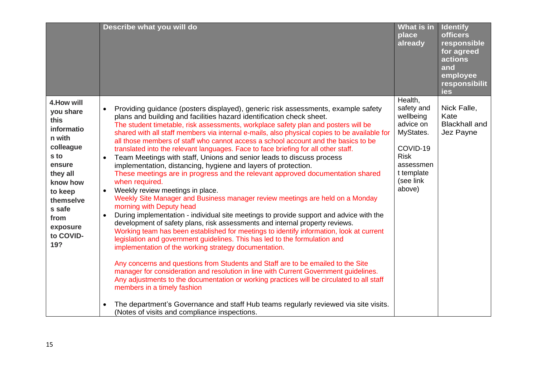|                                                                                                                                                                                           | Describe what you will do                                                                                                                                                                                                                                                                                                                                                                                                                                                                                                                                                                                                                                                                                                                                                                                                                                                                                                                                                                                                                                                                                                                                                                                                                                                                                                                                                                                                                                                                                                                                                                                                                                                                                                                                                           | What is in<br>place<br>already                                                                                                            | <b>Identify</b><br><b>officers</b><br>responsible<br>for agreed<br><b>actions</b><br>and<br>employee<br>responsibilit<br>ies |
|-------------------------------------------------------------------------------------------------------------------------------------------------------------------------------------------|-------------------------------------------------------------------------------------------------------------------------------------------------------------------------------------------------------------------------------------------------------------------------------------------------------------------------------------------------------------------------------------------------------------------------------------------------------------------------------------------------------------------------------------------------------------------------------------------------------------------------------------------------------------------------------------------------------------------------------------------------------------------------------------------------------------------------------------------------------------------------------------------------------------------------------------------------------------------------------------------------------------------------------------------------------------------------------------------------------------------------------------------------------------------------------------------------------------------------------------------------------------------------------------------------------------------------------------------------------------------------------------------------------------------------------------------------------------------------------------------------------------------------------------------------------------------------------------------------------------------------------------------------------------------------------------------------------------------------------------------------------------------------------------|-------------------------------------------------------------------------------------------------------------------------------------------|------------------------------------------------------------------------------------------------------------------------------|
| 4. How will<br>you share<br>this<br>informatio<br>n with<br>colleague<br>s to<br>ensure<br>they all<br>know how<br>to keep<br>themselve<br>s safe<br>from<br>exposure<br>to COVID-<br>19? | Providing guidance (posters displayed), generic risk assessments, example safety<br>plans and building and facilities hazard identification check sheet.<br>The student timetable, risk assessments, workplace safety plan and posters will be<br>shared with all staff members via internal e-mails, also physical copies to be available for<br>all those members of staff who cannot access a school account and the basics to be<br>translated into the relevant languages. Face to face briefing for all other staff.<br>Team Meetings with staff, Unions and senior leads to discuss process<br>implementation, distancing, hygiene and layers of protection.<br>These meetings are in progress and the relevant approved documentation shared<br>when required.<br>Weekly review meetings in place.<br>Weekly Site Manager and Business manager review meetings are held on a Monday<br>morning with Deputy head<br>During implementation - individual site meetings to provide support and advice with the<br>development of safety plans, risk assessments and internal property reviews.<br>Working team has been established for meetings to identify information, look at current<br>legislation and government guidelines. This has led to the formulation and<br>implementation of the working strategy documentation.<br>Any concerns and questions from Students and Staff are to be emailed to the Site<br>manager for consideration and resolution in line with Current Government guidelines.<br>Any adjustments to the documentation or working practices will be circulated to all staff<br>members in a timely fashion<br>The department's Governance and staff Hub teams regularly reviewed via site visits.<br>(Notes of visits and compliance inspections. | Health,<br>safety and<br>wellbeing<br>advice on<br>MyStates.<br>COVID-19<br><b>Risk</b><br>assessmen<br>t template<br>(see link<br>above) | Nick Falle,<br>Kate<br><b>Blackhall and</b><br>Jez Payne                                                                     |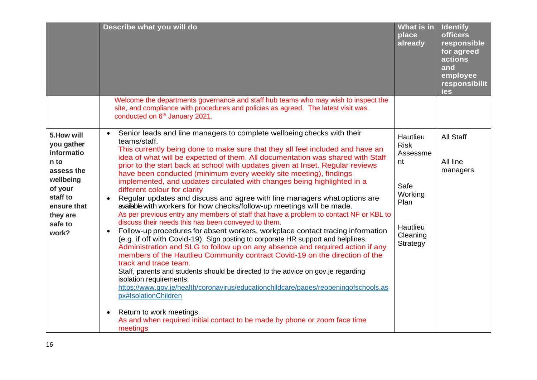|                                                                                                                                                  | Describe what you will do                                                                                                                                                                                                                                                                                                                                                                                                                                                                                                                                                                                                                                                                                                                                                                                                                                                                                                                                                                                                                                                                                                                                                                                                                                                                                                                                                                                                                                                                             | What is in<br>place<br>already                                                                           | <b>Identify</b><br><b>officers</b><br>responsible<br>for agreed<br>actions<br>and<br>employee<br>responsibilit<br>ies |
|--------------------------------------------------------------------------------------------------------------------------------------------------|-------------------------------------------------------------------------------------------------------------------------------------------------------------------------------------------------------------------------------------------------------------------------------------------------------------------------------------------------------------------------------------------------------------------------------------------------------------------------------------------------------------------------------------------------------------------------------------------------------------------------------------------------------------------------------------------------------------------------------------------------------------------------------------------------------------------------------------------------------------------------------------------------------------------------------------------------------------------------------------------------------------------------------------------------------------------------------------------------------------------------------------------------------------------------------------------------------------------------------------------------------------------------------------------------------------------------------------------------------------------------------------------------------------------------------------------------------------------------------------------------------|----------------------------------------------------------------------------------------------------------|-----------------------------------------------------------------------------------------------------------------------|
|                                                                                                                                                  | Welcome the departments governance and staff hub teams who may wish to inspect the<br>site, and compliance with procedures and policies as agreed. The latest visit was<br>conducted on 6 <sup>th</sup> January 2021.                                                                                                                                                                                                                                                                                                                                                                                                                                                                                                                                                                                                                                                                                                                                                                                                                                                                                                                                                                                                                                                                                                                                                                                                                                                                                 |                                                                                                          |                                                                                                                       |
| 5. How will<br>you gather<br>informatio<br>n to<br>assess the<br>wellbeing<br>of your<br>staff to<br>ensure that<br>they are<br>safe to<br>work? | Senior leads and line managers to complete wellbeing checks with their<br>$\bullet$<br>teams/staff.<br>This currently being done to make sure that they all feel included and have an<br>idea of what will be expected of them. All documentation was shared with Staff<br>prior to the start back at school with updates given at Inset. Regular reviews<br>have been conducted (minimum every weekly site meeting), findings<br>implemented, and updates circulated with changes being highlighted in a<br>different colour for clarity<br>Regular updates and discuss and agree with line managers what options are<br>available with workers for how checks/follow-up meetings will be made.<br>As per previous entry any members of staff that have a problem to contact NF or KBL to<br>discuss their needs this has been conveyed to them.<br>Follow-up procedures for absent workers, workplace contact tracing information<br>$\bullet$<br>(e.g. if off with Covid-19). Sign posting to corporate HR support and helplines.<br>Administration and SLG to follow up on any absence and required action if any<br>members of the Hautlieu Community contract Covid-19 on the direction of the<br>track and trace team.<br>Staff, parents and students should be directed to the advice on gov.je regarding<br>isolation requirements:<br>https://www.gov.je/health/coronavirus/educationchildcare/pages/reopeningofschools.as<br>px#IsolationChildren<br>Return to work meetings.<br>$\bullet$ | Hautlieu<br><b>Risk</b><br>Assessme<br>nt<br>Safe<br>Working<br>Plan<br>Hautlieu<br>Cleaning<br>Strategy | <b>All Staff</b><br>All line<br>managers                                                                              |
|                                                                                                                                                  | As and when required initial contact to be made by phone or zoom face time<br>meetings                                                                                                                                                                                                                                                                                                                                                                                                                                                                                                                                                                                                                                                                                                                                                                                                                                                                                                                                                                                                                                                                                                                                                                                                                                                                                                                                                                                                                |                                                                                                          |                                                                                                                       |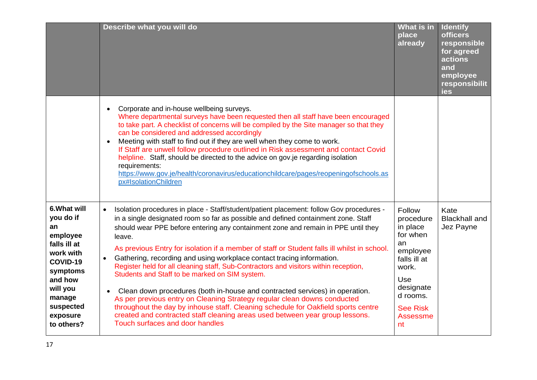|                                                                                                                                                                          | Describe what you will do                                                                                                                                                                                                                                                                                                                                                                                                                                                                                                                                                                                                                                                                                                                                                                                                                                                                                                                                                                    | What is in<br>place<br>already                                                                                                                                     | <b>Identify</b><br><b>officers</b><br>responsible<br>for agreed<br>actions<br>and<br>employee<br>responsibilit<br>ies |
|--------------------------------------------------------------------------------------------------------------------------------------------------------------------------|----------------------------------------------------------------------------------------------------------------------------------------------------------------------------------------------------------------------------------------------------------------------------------------------------------------------------------------------------------------------------------------------------------------------------------------------------------------------------------------------------------------------------------------------------------------------------------------------------------------------------------------------------------------------------------------------------------------------------------------------------------------------------------------------------------------------------------------------------------------------------------------------------------------------------------------------------------------------------------------------|--------------------------------------------------------------------------------------------------------------------------------------------------------------------|-----------------------------------------------------------------------------------------------------------------------|
|                                                                                                                                                                          | Corporate and in-house wellbeing surveys.<br>$\bullet$<br>Where departmental surveys have been requested then all staff have been encouraged<br>to take part. A checklist of concerns will be compiled by the Site manager so that they<br>can be considered and addressed accordingly<br>Meeting with staff to find out if they are well when they come to work.<br>$\bullet$<br>If Staff are unwell follow procedure outlined in Risk assessment and contact Covid<br>helpline. Staff, should be directed to the advice on gov.je regarding isolation<br>requirements:<br>https://www.gov.je/health/coronavirus/educationchildcare/pages/reopeningofschools.as<br>px#IsolationChildren                                                                                                                                                                                                                                                                                                     |                                                                                                                                                                    |                                                                                                                       |
| 6. What will<br>you do if<br>an<br>employee<br>falls ill at<br>work with<br>COVID-19<br>symptoms<br>and how<br>will you<br>manage<br>suspected<br>exposure<br>to others? | Isolation procedures in place - Staff/student/patient placement: follow Gov procedures -<br>in a single designated room so far as possible and defined containment zone. Staff<br>should wear PPE before entering any containment zone and remain in PPE until they<br>leave.<br>As previous Entry for isolation if a member of staff or Student falls ill whilst in school.<br>Gathering, recording and using workplace contact tracing information.<br>$\bullet$<br>Register held for all cleaning staff, Sub-Contractors and visitors within reception,<br>Students and Staff to be marked on SIM system.<br>Clean down procedures (both in-house and contracted services) in operation.<br>$\bullet$<br>As per previous entry on Cleaning Strategy regular clean downs conducted<br>throughout the day by inhouse staff. Cleaning schedule for Oakfield sports centre<br>created and contracted staff cleaning areas used between year group lessons.<br>Touch surfaces and door handles | Follow<br>procedure<br>in place<br>for when<br>an<br>employee<br>falls ill at<br>work.<br><b>Use</b><br>designate<br>d rooms.<br><b>See Risk</b><br>Assessme<br>nt | Kate<br><b>Blackhall and</b><br>Jez Payne                                                                             |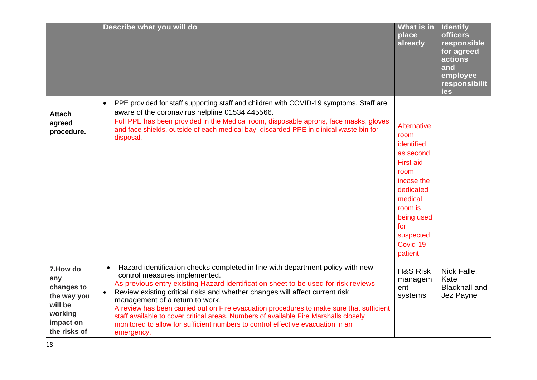|                                                                                                  | Describe what you will do                                                                                                                                                                                                                                                                                                                                                                                                                                                                                                                                                                                                 | What is in<br>place<br>already                                                                                                                                                       | <b>Identify</b><br><b>officers</b><br>responsible<br>for agreed<br>actions<br>and<br>employee<br>responsibilit<br>ies |
|--------------------------------------------------------------------------------------------------|---------------------------------------------------------------------------------------------------------------------------------------------------------------------------------------------------------------------------------------------------------------------------------------------------------------------------------------------------------------------------------------------------------------------------------------------------------------------------------------------------------------------------------------------------------------------------------------------------------------------------|--------------------------------------------------------------------------------------------------------------------------------------------------------------------------------------|-----------------------------------------------------------------------------------------------------------------------|
| <b>Attach</b><br>agreed<br>procedure.                                                            | PPE provided for staff supporting staff and children with COVID-19 symptoms. Staff are<br>$\bullet$<br>aware of the coronavirus helpline 01534 445566.<br>Full PPE has been provided in the Medical room, disposable aprons, face masks, gloves<br>and face shields, outside of each medical bay, discarded PPE in clinical waste bin for<br>disposal.                                                                                                                                                                                                                                                                    | Alternative<br>room<br>identified<br>as second<br><b>First aid</b><br>room<br>incase the<br>dedicated<br>medical<br>room is<br>being used<br>for<br>suspected<br>Covid-19<br>patient |                                                                                                                       |
| 7. How do<br>any<br>changes to<br>the way you<br>will be<br>working<br>impact on<br>the risks of | Hazard identification checks completed in line with department policy with new<br>$\bullet$<br>control measures implemented.<br>As previous entry existing Hazard identification sheet to be used for risk reviews<br>Review existing critical risks and whether changes will affect current risk<br>management of a return to work.<br>A review has been carried out on Fire evacuation procedures to make sure that sufficient<br>staff available to cover critical areas. Numbers of available Fire Marshalls closely<br>monitored to allow for sufficient numbers to control effective evacuation in an<br>emergency. | <b>H&amp;S Risk</b><br>managem<br>ent<br>systems                                                                                                                                     | Nick Falle,<br>Kate<br><b>Blackhall and</b><br>Jez Payne                                                              |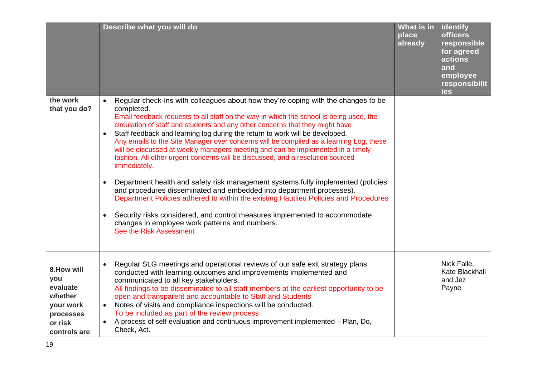|                                                                                                | Describe what you will do                                                                                                                                                                                                                                                                                                                                                                                                                                                                                                                                                                                                                                                                                                                                                                                                                                                                                                                                                                                                                                                         | What is in<br>place<br>already | <b>Identify</b><br><b>officers</b><br>responsible<br>for agreed<br>actions<br>and<br>employee<br>responsibilit<br>ies |
|------------------------------------------------------------------------------------------------|-----------------------------------------------------------------------------------------------------------------------------------------------------------------------------------------------------------------------------------------------------------------------------------------------------------------------------------------------------------------------------------------------------------------------------------------------------------------------------------------------------------------------------------------------------------------------------------------------------------------------------------------------------------------------------------------------------------------------------------------------------------------------------------------------------------------------------------------------------------------------------------------------------------------------------------------------------------------------------------------------------------------------------------------------------------------------------------|--------------------------------|-----------------------------------------------------------------------------------------------------------------------|
| the work<br>that you do?                                                                       | Regular check-ins with colleagues about how they're coping with the changes to be<br>completed.<br>Email feedback requests to all staff on the way in which the school is being used, the<br>circulation of staff and students and any other concerns that they might have<br>Staff feedback and learning log during the return to work will be developed.<br>Any emails to the Site Manager over concerns will be compiled as a learning Log, these<br>will be discussed at weekly managers meeting and can be implemented in a timely<br>fashion. All other urgent concerns will be discussed, and a resolution sourced<br>immediately.<br>Department health and safety risk management systems fully implemented (policies<br>$\bullet$<br>and procedures disseminated and embedded into department processes).<br>Department Policies adhered to within the existing Hautlieu Policies and Procedures<br>Security risks considered, and control measures implemented to accommodate<br>$\bullet$<br>changes in employee work patterns and numbers.<br>See the Risk Assessment |                                |                                                                                                                       |
| 8. How will<br>you<br>evaluate<br>whether<br>your work<br>processes<br>or risk<br>controls are | Regular SLG meetings and operational reviews of our safe exit strategy plans<br>conducted with learning outcomes and improvements implemented and<br>communicated to all key stakeholders.<br>All findings to be disseminated to all staff members at the earliest opportunity to be<br>open and transparent and accountable to Staff and Students<br>Notes of visits and compliance inspections will be conducted.<br>$\bullet$<br>To be included as part of the review process<br>A process of self-evaluation and continuous improvement implemented - Plan, Do,<br>Check, Act.                                                                                                                                                                                                                                                                                                                                                                                                                                                                                                |                                | Nick Falle,<br>Kate Blackhall<br>and Jez<br>Payne                                                                     |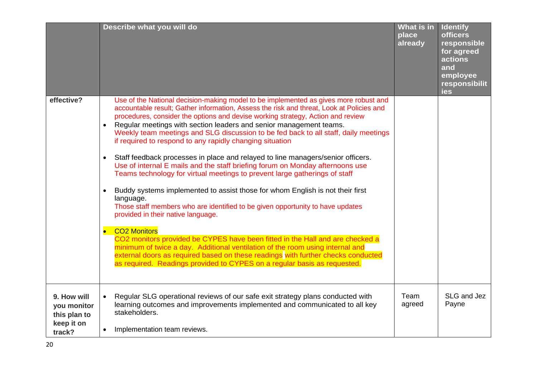|                                                                    | Describe what you will do                                                                                                                                                                                                                                                                                                                                                                                                                                                                                                                                                                                                                                                                                                                                                                                                                                                                                                                                                                                                                                                                                                                                                                                                                                                                                                                                       | What is in<br>place<br>already | <b>Identify</b><br><b>officers</b><br>responsible<br>for agreed<br>actions<br>and<br>employee<br>responsibilit<br>ies |
|--------------------------------------------------------------------|-----------------------------------------------------------------------------------------------------------------------------------------------------------------------------------------------------------------------------------------------------------------------------------------------------------------------------------------------------------------------------------------------------------------------------------------------------------------------------------------------------------------------------------------------------------------------------------------------------------------------------------------------------------------------------------------------------------------------------------------------------------------------------------------------------------------------------------------------------------------------------------------------------------------------------------------------------------------------------------------------------------------------------------------------------------------------------------------------------------------------------------------------------------------------------------------------------------------------------------------------------------------------------------------------------------------------------------------------------------------|--------------------------------|-----------------------------------------------------------------------------------------------------------------------|
| effective?                                                         | Use of the National decision-making model to be implemented as gives more robust and<br>accountable result; Gather information, Assess the risk and threat, Look at Policies and<br>procedures, consider the options and devise working strategy, Action and review<br>Regular meetings with section leaders and senior management teams.<br>$\bullet$<br>Weekly team meetings and SLG discussion to be fed back to all staff, daily meetings<br>if required to respond to any rapidly changing situation<br>Staff feedback processes in place and relayed to line managers/senior officers.<br>$\bullet$<br>Use of internal E mails and the staff briefing forum on Monday afternoons use<br>Teams technology for virtual meetings to prevent large gatherings of staff<br>Buddy systems implemented to assist those for whom English is not their first<br>$\bullet$<br>language.<br>Those staff members who are identified to be given opportunity to have updates<br>provided in their native language.<br>• CO2 Monitors<br>CO2 monitors provided be CYPES have been fitted in the Hall and are checked a<br>minimum of twice a day. Additional ventilation of the room using internal and<br>external doors as required based on these readings with further checks conducted<br>as required. Readings provided to CYPES on a regular basis as requested. |                                |                                                                                                                       |
| 9. How will<br>you monitor<br>this plan to<br>keep it on<br>track? | Regular SLG operational reviews of our safe exit strategy plans conducted with<br>learning outcomes and improvements implemented and communicated to all key<br>stakeholders.<br>Implementation team reviews.<br>$\bullet$                                                                                                                                                                                                                                                                                                                                                                                                                                                                                                                                                                                                                                                                                                                                                                                                                                                                                                                                                                                                                                                                                                                                      | Team<br>agreed                 | SLG and Jez<br>Payne                                                                                                  |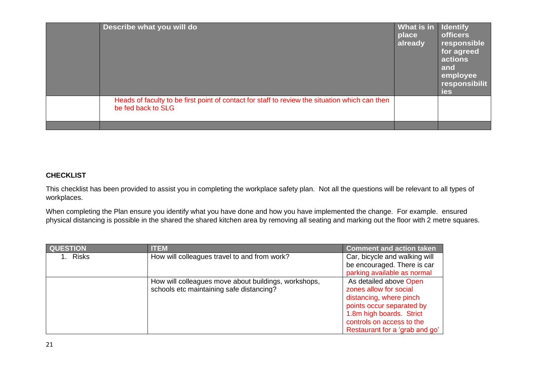| Describe what you will do                                                                                            | What is in<br>place<br>already | <b>Identify</b><br><b>officers</b><br>responsible<br>for agreed<br>actions<br>and<br>employee<br>responsibilit<br>ies |
|----------------------------------------------------------------------------------------------------------------------|--------------------------------|-----------------------------------------------------------------------------------------------------------------------|
| Heads of faculty to be first point of contact for staff to review the situation which can then<br>be fed back to SLG |                                |                                                                                                                       |
|                                                                                                                      |                                |                                                                                                                       |

### **CHECKLIST**

This checklist has been provided to assist you in completing the workplace safety plan. Not all the questions will be relevant to all types of workplaces.

When completing the Plan ensure you identify what you have done and how you have implemented the change. For example. ensured physical distancing is possible in the shared the shared kitchen area by removing all seating and marking out the floor with 2 metre squares.

| <b>QUESTION</b> | <b>ITEM</b>                                          | <b>Comment and action taken</b> |
|-----------------|------------------------------------------------------|---------------------------------|
| 1. Risks        | How will colleagues travel to and from work?         | Car, bicycle and walking will   |
|                 |                                                      | be encouraged. There is car     |
|                 |                                                      | parking available as normal     |
|                 | How will colleagues move about buildings, workshops, | As detailed above Open          |
|                 | schools etc maintaining safe distancing?             | zones allow for social          |
|                 |                                                      | distancing, where pinch         |
|                 |                                                      | points occur separated by       |
|                 |                                                      | 1.8m high boards. Strict        |
|                 |                                                      | controls on access to the       |
|                 |                                                      | Restaurant for a 'grab and go'  |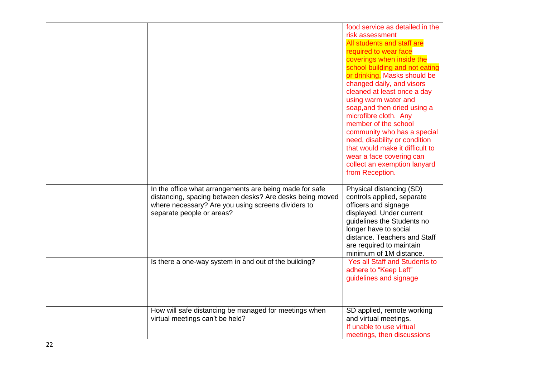|                                                                                                                                                                                                        | food service as detailed in the<br>risk assessment<br>All students and staff are<br>required to wear face<br>coverings when inside the<br>school building and not eating<br>or drinking. Masks should be<br>changed daily, and visors<br>cleaned at least once a day<br>using warm water and<br>soap, and then dried using a<br>microfibre cloth. Any<br>member of the school<br>community who has a special<br>need, disability or condition<br>that would make it difficult to<br>wear a face covering can<br>collect an exemption lanyard<br>from Reception. |
|--------------------------------------------------------------------------------------------------------------------------------------------------------------------------------------------------------|-----------------------------------------------------------------------------------------------------------------------------------------------------------------------------------------------------------------------------------------------------------------------------------------------------------------------------------------------------------------------------------------------------------------------------------------------------------------------------------------------------------------------------------------------------------------|
| In the office what arrangements are being made for safe<br>distancing, spacing between desks? Are desks being moved<br>where necessary? Are you using screens dividers to<br>separate people or areas? | Physical distancing (SD)<br>controls applied, separate<br>officers and signage<br>displayed. Under current<br>guidelines the Students no<br>longer have to social<br>distance. Teachers and Staff<br>are required to maintain<br>minimum of 1M distance.                                                                                                                                                                                                                                                                                                        |
| Is there a one-way system in and out of the building?                                                                                                                                                  | <b>Yes all Staff and Students to</b><br>adhere to "Keep Left"<br>guidelines and signage                                                                                                                                                                                                                                                                                                                                                                                                                                                                         |
| How will safe distancing be managed for meetings when<br>virtual meetings can't be held?                                                                                                               | SD applied, remote working<br>and virtual meetings.<br>If unable to use virtual<br>meetings, then discussions                                                                                                                                                                                                                                                                                                                                                                                                                                                   |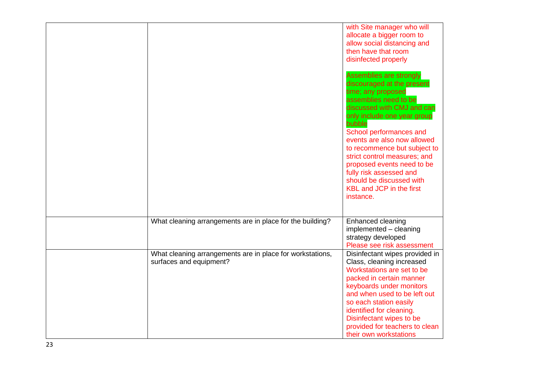|                                                                                      | with Site manager who will<br>allocate a bigger room to<br>allow social distancing and<br>then have that room<br>disinfected properly<br>Assemblies are strongly<br>discouraged at the present<br>time; any proposed<br>assemblies need to be<br>discussed with CMJ and can<br>only include one year group<br>bubble<br>School performances and<br>events are also now allowed<br>to recommence but subject to<br>strict control measures; and<br>proposed events need to be<br>fully risk assessed and<br>should be discussed with<br><b>KBL and JCP in the first</b><br>instance. |
|--------------------------------------------------------------------------------------|-------------------------------------------------------------------------------------------------------------------------------------------------------------------------------------------------------------------------------------------------------------------------------------------------------------------------------------------------------------------------------------------------------------------------------------------------------------------------------------------------------------------------------------------------------------------------------------|
| What cleaning arrangements are in place for the building?                            | Enhanced cleaning<br>implemented - cleaning<br>strategy developed<br>Please see risk assessment                                                                                                                                                                                                                                                                                                                                                                                                                                                                                     |
| What cleaning arrangements are in place for workstations,<br>surfaces and equipment? | Disinfectant wipes provided in<br>Class, cleaning increased<br>Workstations are set to be<br>packed in certain manner<br>keyboards under monitors<br>and when used to be left out<br>so each station easily<br>identified for cleaning.<br>Disinfectant wipes to be<br>provided for teachers to clean<br>their own workstations                                                                                                                                                                                                                                                     |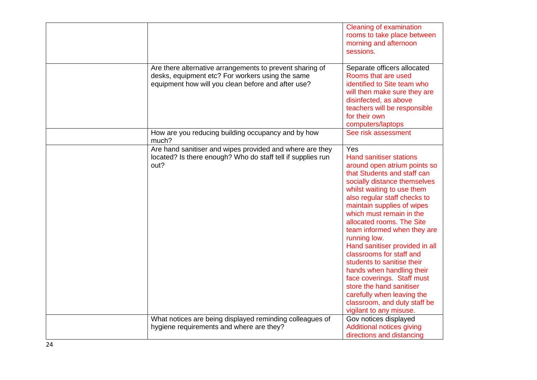|                                                                                                                                                                    | Cleaning of examination<br>rooms to take place between<br>morning and afternoon<br>sessions.                                                                                                                                                                                                                                                                                                                                                                                                                                                                                                                         |
|--------------------------------------------------------------------------------------------------------------------------------------------------------------------|----------------------------------------------------------------------------------------------------------------------------------------------------------------------------------------------------------------------------------------------------------------------------------------------------------------------------------------------------------------------------------------------------------------------------------------------------------------------------------------------------------------------------------------------------------------------------------------------------------------------|
| Are there alternative arrangements to prevent sharing of<br>desks, equipment etc? For workers using the same<br>equipment how will you clean before and after use? | Separate officers allocated<br>Rooms that are used<br>identified to Site team who<br>will then make sure they are<br>disinfected, as above<br>teachers will be responsible<br>for their own<br>computers/laptops                                                                                                                                                                                                                                                                                                                                                                                                     |
| How are you reducing building occupancy and by how<br>much?                                                                                                        | See risk assessment                                                                                                                                                                                                                                                                                                                                                                                                                                                                                                                                                                                                  |
| Are hand sanitiser and wipes provided and where are they<br>located? Is there enough? Who do staff tell if supplies run<br>out?                                    | Yes<br><b>Hand sanitiser stations</b><br>around open atrium points so<br>that Students and staff can<br>socially distance themselves<br>whilst waiting to use them<br>also regular staff checks to<br>maintain supplies of wipes<br>which must remain in the<br>allocated rooms. The Site<br>team informed when they are<br>running low.<br>Hand sanitiser provided in all<br>classrooms for staff and<br>students to sanitise their<br>hands when handling their<br>face coverings. Staff must<br>store the hand sanitiser<br>carefully when leaving the<br>classroom, and duty staff be<br>vigilant to any misuse. |
| What notices are being displayed reminding colleagues of<br>hygiene requirements and where are they?                                                               | Gov notices displayed<br>Additional notices giving                                                                                                                                                                                                                                                                                                                                                                                                                                                                                                                                                                   |
|                                                                                                                                                                    | directions and distancing                                                                                                                                                                                                                                                                                                                                                                                                                                                                                                                                                                                            |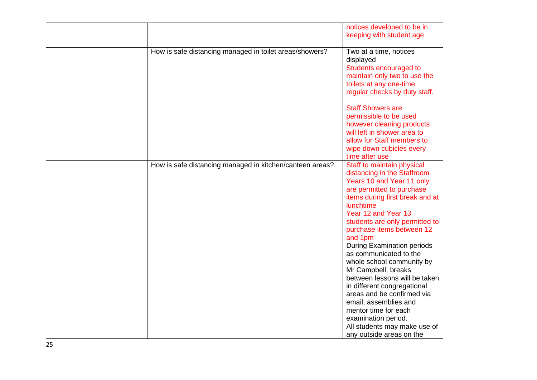|                                                          | notices developed to be in        |
|----------------------------------------------------------|-----------------------------------|
|                                                          | keeping with student age          |
|                                                          |                                   |
| How is safe distancing managed in toilet areas/showers?  | Two at a time, notices            |
|                                                          | displayed                         |
|                                                          | Students encouraged to            |
|                                                          |                                   |
|                                                          | maintain only two to use the      |
|                                                          | toilets at any one-time,          |
|                                                          | regular checks by duty staff.     |
|                                                          |                                   |
|                                                          | <b>Staff Showers are</b>          |
|                                                          | permissible to be used            |
|                                                          | however cleaning products         |
|                                                          | will left in shower area to       |
|                                                          |                                   |
|                                                          | allow for Staff members to        |
|                                                          | wipe down cubicles every          |
|                                                          | time after use                    |
| How is safe distancing managed in kitchen/canteen areas? | Staff to maintain physical        |
|                                                          | distancing in the Staffroom       |
|                                                          | Years 10 and Year 11 only         |
|                                                          | are permitted to purchase         |
|                                                          | items during first break and at   |
|                                                          | <b>lunchtime</b>                  |
|                                                          |                                   |
|                                                          | Year 12 and Year 13               |
|                                                          | students are only permitted to    |
|                                                          | purchase items between 12         |
|                                                          | and 1pm                           |
|                                                          | <b>During Examination periods</b> |
|                                                          | as communicated to the            |
|                                                          | whole school community by         |
|                                                          | Mr Campbell, breaks               |
|                                                          | between lessons will be taken     |
|                                                          | in different congregational       |
|                                                          |                                   |
|                                                          | areas and be confirmed via        |
|                                                          | email, assemblies and             |
|                                                          | mentor time for each              |
|                                                          | examination period.               |
|                                                          | All students may make use of      |
|                                                          | any outside areas on the          |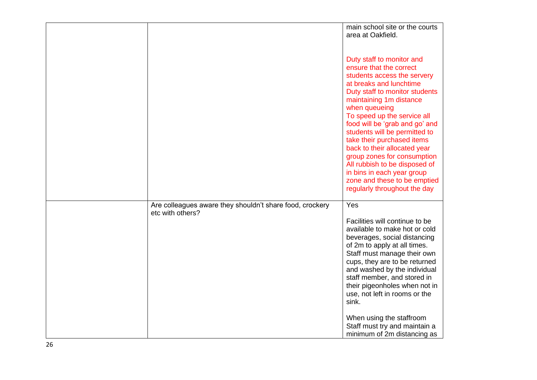|                                                                              | area at Oakfield.                                                                                                                                                                                                                                                                                                                                                                                                                                                                                                          |
|------------------------------------------------------------------------------|----------------------------------------------------------------------------------------------------------------------------------------------------------------------------------------------------------------------------------------------------------------------------------------------------------------------------------------------------------------------------------------------------------------------------------------------------------------------------------------------------------------------------|
|                                                                              | Duty staff to monitor and<br>ensure that the correct<br>students access the servery<br>at breaks and lunchtime<br>Duty staff to monitor students<br>maintaining 1m distance<br>when queueing<br>To speed up the service all<br>food will be 'grab and go' and<br>students will be permitted to<br>take their purchased items<br>back to their allocated year<br>group zones for consumption<br>All rubbish to be disposed of<br>in bins in each year group<br>zone and these to be emptied<br>regularly throughout the day |
| Are colleagues aware they shouldn't share food, crockery<br>etc with others? | Yes<br>Facilities will continue to be<br>available to make hot or cold<br>beverages, social distancing<br>of 2m to apply at all times.<br>Staff must manage their own<br>cups, they are to be returned<br>and washed by the individual<br>staff member, and stored in<br>their pigeonholes when not in<br>use, not left in rooms or the<br>sink.<br>When using the staffroom<br>Staff must try and maintain a                                                                                                              |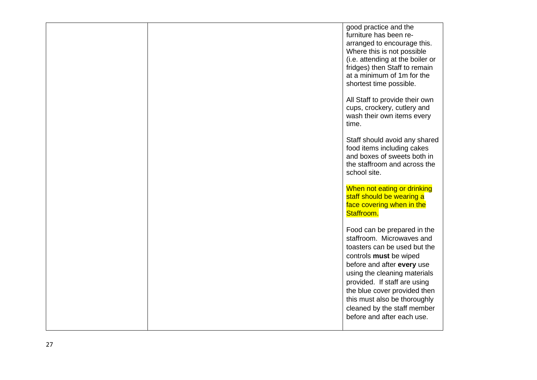|  | good practice and the<br>furniture has been re-<br>arranged to encourage this.<br>Where this is not possible<br>(i.e. attending at the boiler or<br>fridges) then Staff to remain<br>at a minimum of 1m for the<br>shortest time possible.                                                                                                    |
|--|-----------------------------------------------------------------------------------------------------------------------------------------------------------------------------------------------------------------------------------------------------------------------------------------------------------------------------------------------|
|  | All Staff to provide their own<br>cups, crockery, cutlery and<br>wash their own items every<br>time.                                                                                                                                                                                                                                          |
|  | Staff should avoid any shared<br>food items including cakes<br>and boxes of sweets both in<br>the staffroom and across the<br>school site.                                                                                                                                                                                                    |
|  | When not eating or drinking<br>staff should be wearing a<br>face covering when in the<br>Staffroom.                                                                                                                                                                                                                                           |
|  | Food can be prepared in the<br>staffroom. Microwaves and<br>toasters can be used but the<br>controls must be wiped<br>before and after every use<br>using the cleaning materials<br>provided. If staff are using<br>the blue cover provided then<br>this must also be thoroughly<br>cleaned by the staff member<br>before and after each use. |
|  |                                                                                                                                                                                                                                                                                                                                               |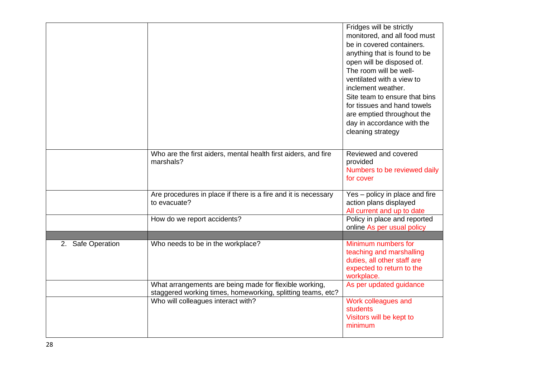|                   |                                                                                                                       | Fridges will be strictly<br>monitored, and all food must<br>be in covered containers.<br>anything that is found to be<br>open will be disposed of.<br>The room will be well-<br>ventilated with a view to<br>inclement weather.<br>Site team to ensure that bins<br>for tissues and hand towels<br>are emptied throughout the<br>day in accordance with the<br>cleaning strategy |
|-------------------|-----------------------------------------------------------------------------------------------------------------------|----------------------------------------------------------------------------------------------------------------------------------------------------------------------------------------------------------------------------------------------------------------------------------------------------------------------------------------------------------------------------------|
|                   | Who are the first aiders, mental health first aiders, and fire<br>marshals?                                           | Reviewed and covered<br>provided<br>Numbers to be reviewed daily<br>for cover                                                                                                                                                                                                                                                                                                    |
|                   | Are procedures in place if there is a fire and it is necessary<br>to evacuate?                                        | Yes - policy in place and fire<br>action plans displayed<br>All current and up to date                                                                                                                                                                                                                                                                                           |
|                   | How do we report accidents?                                                                                           | Policy in place and reported<br>online As per usual policy                                                                                                                                                                                                                                                                                                                       |
| 2. Safe Operation | Who needs to be in the workplace?                                                                                     | Minimum numbers for<br>teaching and marshalling<br>duties, all other staff are<br>expected to return to the<br>workplace.                                                                                                                                                                                                                                                        |
|                   | What arrangements are being made for flexible working,<br>staggered working times, homeworking, splitting teams, etc? | As per updated guidance                                                                                                                                                                                                                                                                                                                                                          |
|                   | Who will colleagues interact with?                                                                                    | Work colleagues and<br>students<br>Visitors will be kept to<br>minimum                                                                                                                                                                                                                                                                                                           |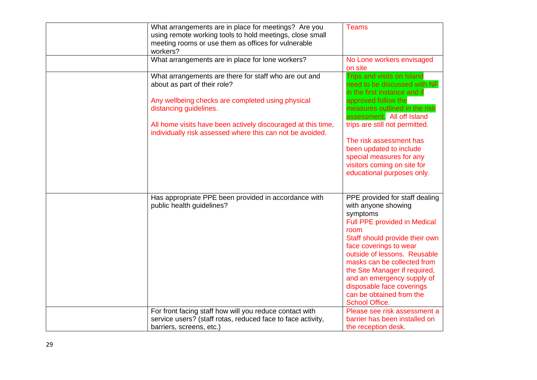| What arrangements are in place for meetings? Are you<br>using remote working tools to hold meetings, close small<br>meeting rooms or use them as offices for vulnerable<br>workers? | Teams                                                                                                                                                                                                                                                                                                                                                                                 |
|-------------------------------------------------------------------------------------------------------------------------------------------------------------------------------------|---------------------------------------------------------------------------------------------------------------------------------------------------------------------------------------------------------------------------------------------------------------------------------------------------------------------------------------------------------------------------------------|
| What arrangements are in place for lone workers?                                                                                                                                    | No Lone workers envisaged<br>on site                                                                                                                                                                                                                                                                                                                                                  |
| What arrangements are there for staff who are out and<br>about as part of their role?                                                                                               | Trips and visits on Island<br>need to be discussed with NF<br>in the first instance and if                                                                                                                                                                                                                                                                                            |
| Any wellbeing checks are completed using physical<br>distancing guidelines.                                                                                                         | approved follow the<br>measures outlined in the risk<br>assessment. All off Island                                                                                                                                                                                                                                                                                                    |
| All home visits have been actively discouraged at this time,<br>individually risk assessed where this can not be avoided.                                                           | trips are still not permitted.                                                                                                                                                                                                                                                                                                                                                        |
|                                                                                                                                                                                     | The risk assessment has<br>been updated to include<br>special measures for any<br>visitors coming on site for<br>educational purposes only.                                                                                                                                                                                                                                           |
|                                                                                                                                                                                     |                                                                                                                                                                                                                                                                                                                                                                                       |
| Has appropriate PPE been provided in accordance with<br>public health guidelines?                                                                                                   | PPE provided for staff dealing<br>with anyone showing<br>symptoms<br><b>Full PPE provided in Medical</b><br>room<br>Staff should provide their own<br>face coverings to wear<br>outside of lessons. Reusable<br>masks can be collected from<br>the Site Manager if required,<br>and an emergency supply of<br>disposable face coverings<br>can be obtained from the<br>School Office. |
| For front facing staff how will you reduce contact with<br>service users? (staff rotas, reduced face to face activity,                                                              | Please see risk assessment a<br>barrier has been installed on                                                                                                                                                                                                                                                                                                                         |
| barriers, screens, etc.)                                                                                                                                                            | the reception desk.                                                                                                                                                                                                                                                                                                                                                                   |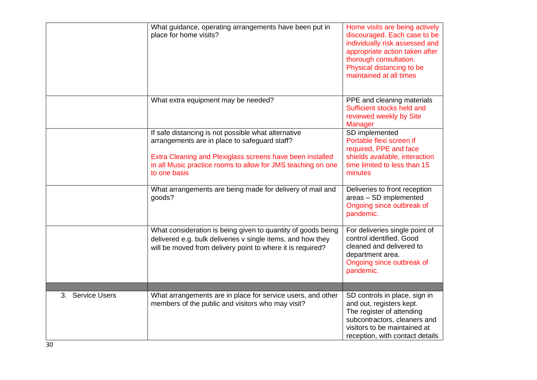|                  | What guidance, operating arrangements have been put in<br>place for home visits?                                                                                                          | Home visits are being actively<br>discouraged. Each case to be<br>individually risk assessed and<br>appropriate action taken after<br>thorough consultation.<br>Physical distancing to be |
|------------------|-------------------------------------------------------------------------------------------------------------------------------------------------------------------------------------------|-------------------------------------------------------------------------------------------------------------------------------------------------------------------------------------------|
|                  | What extra equipment may be needed?                                                                                                                                                       | maintained at all times<br>PPE and cleaning materials                                                                                                                                     |
|                  |                                                                                                                                                                                           | Sufficient stocks held and<br>reviewed weekly by Site<br><b>Manager</b>                                                                                                                   |
|                  | If safe distancing is not possible what alternative<br>arrangements are in place to safeguard staff?<br>Extra Cleaning and Plexiglass screens have been installed                         | SD implemented<br>Portable flexi screen if<br>required, PPE and face<br>shields available, interaction                                                                                    |
|                  | in all Music practice rooms to allow for JMS teaching on one<br>to one basis                                                                                                              | time limited to less than 15<br>minutes                                                                                                                                                   |
|                  | What arrangements are being made for delivery of mail and<br>goods?                                                                                                                       | Deliveries to front reception<br>areas - SD implemented<br>Ongoing since outbreak of<br>pandemic.                                                                                         |
|                  | What consideration is being given to quantity of goods being<br>delivered e.g. bulk deliveries v single items, and how they<br>will be moved from delivery point to where it is required? | For deliveries single point of<br>control identified. Good<br>cleaned and delivered to<br>department area.<br>Ongoing since outbreak of<br>pandemic.                                      |
| 3. Service Users | What arrangements are in place for service users, and other<br>members of the public and visitors who may visit?                                                                          | SD controls in place, sign in<br>and out, registers kept.<br>The register of attending<br>subcontractors, cleaners and<br>visitors to be maintained at<br>reception, with contact details |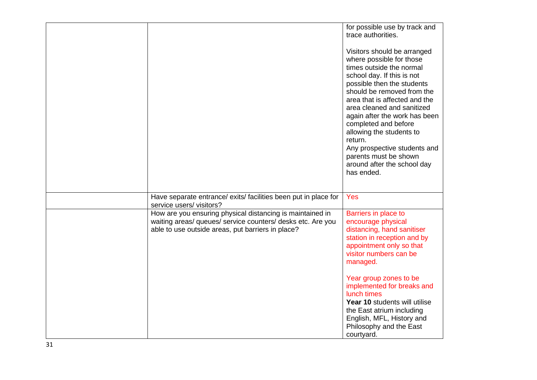|                                                                                                                                                                               | for possible use by track and<br>trace authorities.<br>Visitors should be arranged<br>where possible for those<br>times outside the normal<br>school day. If this is not<br>possible then the students<br>should be removed from the<br>area that is affected and the<br>area cleaned and sanitized<br>again after the work has been<br>completed and before<br>allowing the students to<br>return.<br>Any prospective students and<br>parents must be shown<br>around after the school day<br>has ended. |
|-------------------------------------------------------------------------------------------------------------------------------------------------------------------------------|-----------------------------------------------------------------------------------------------------------------------------------------------------------------------------------------------------------------------------------------------------------------------------------------------------------------------------------------------------------------------------------------------------------------------------------------------------------------------------------------------------------|
| Have separate entrance/ exits/ facilities been put in place for<br>service users/visitors?                                                                                    | Yes                                                                                                                                                                                                                                                                                                                                                                                                                                                                                                       |
| How are you ensuring physical distancing is maintained in<br>waiting areas/ queues/ service counters/ desks etc. Are you<br>able to use outside areas, put barriers in place? | Barriers in place to<br>encourage physical<br>distancing, hand sanitiser<br>station in reception and by<br>appointment only so that<br>visitor numbers can be<br>managed.<br>Year group zones to be<br>implemented for breaks and<br>lunch times<br>Year 10 students will utilise<br>the East atrium including<br>English, MFL, History and<br>Philosophy and the East<br>courtyard.                                                                                                                      |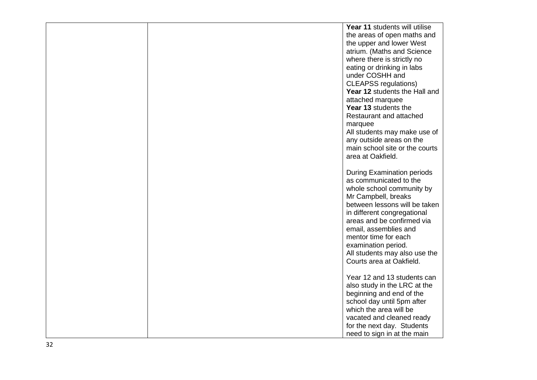|  | Year 11 students will utilise                          |
|--|--------------------------------------------------------|
|  | the areas of open maths and                            |
|  | the upper and lower West                               |
|  | atrium. (Maths and Science                             |
|  | where there is strictly no                             |
|  | eating or drinking in labs                             |
|  | under COSHH and                                        |
|  | <b>CLEAPSS</b> regulations)                            |
|  | Year 12 students the Hall and                          |
|  | attached marquee                                       |
|  | Year 13 students the                                   |
|  | Restaurant and attached                                |
|  | marquee                                                |
|  | All students may make use of                           |
|  | any outside areas on the                               |
|  | main school site or the courts                         |
|  | area at Oakfield.                                      |
|  |                                                        |
|  | <b>During Examination periods</b>                      |
|  | as communicated to the                                 |
|  | whole school community by                              |
|  | Mr Campbell, breaks                                    |
|  | between lessons will be taken                          |
|  | in different congregational                            |
|  | areas and be confirmed via                             |
|  | email, assemblies and                                  |
|  | mentor time for each                                   |
|  | examination period.                                    |
|  | All students may also use the                          |
|  | Courts area at Oakfield.                               |
|  |                                                        |
|  | Year 12 and 13 students can                            |
|  | also study in the LRC at the                           |
|  | beginning and end of the<br>school day until 5pm after |
|  | which the area will be                                 |
|  | vacated and cleaned ready                              |
|  | for the next day. Students                             |
|  | need to sign in at the main                            |
|  |                                                        |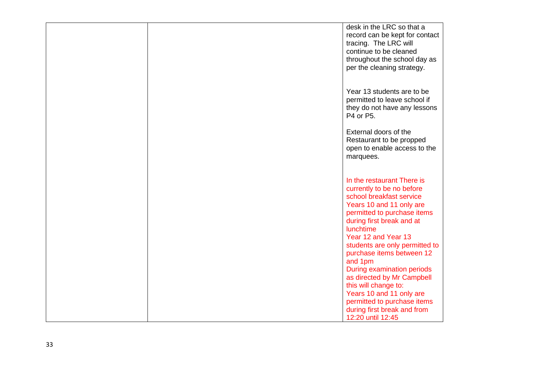|  | desk in the LRC so that a<br>record can be kept for contact<br>tracing. The LRC will<br>continue to be cleaned<br>throughout the school day as<br>per the cleaning strategy.                                                                                                                                                                                                                                                                                                                        |
|--|-----------------------------------------------------------------------------------------------------------------------------------------------------------------------------------------------------------------------------------------------------------------------------------------------------------------------------------------------------------------------------------------------------------------------------------------------------------------------------------------------------|
|  | Year 13 students are to be<br>permitted to leave school if<br>they do not have any lessons<br>P4 or P5.                                                                                                                                                                                                                                                                                                                                                                                             |
|  | External doors of the<br>Restaurant to be propped<br>open to enable access to the<br>marquees.                                                                                                                                                                                                                                                                                                                                                                                                      |
|  | In the restaurant There is<br>currently to be no before<br>school breakfast service<br>Years 10 and 11 only are<br>permitted to purchase items<br>during first break and at<br>lunchtime<br>Year 12 and Year 13<br>students are only permitted to<br>purchase items between 12<br>and 1pm<br><b>During examination periods</b><br>as directed by Mr Campbell<br>this will change to:<br>Years 10 and 11 only are<br>permitted to purchase items<br>during first break and from<br>12:20 until 12:45 |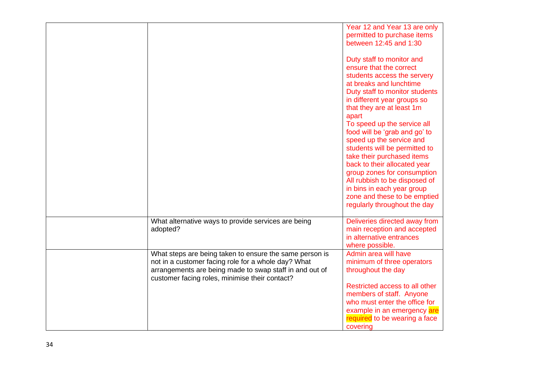|                                                                                                                                                                                                                             | Year 12 and Year 13 are only<br>permitted to purchase items<br>between 12:45 and 1:30<br>Duty staff to monitor and<br>ensure that the correct                                                                                                                                                                                                                  |
|-----------------------------------------------------------------------------------------------------------------------------------------------------------------------------------------------------------------------------|----------------------------------------------------------------------------------------------------------------------------------------------------------------------------------------------------------------------------------------------------------------------------------------------------------------------------------------------------------------|
|                                                                                                                                                                                                                             | students access the servery<br>at breaks and lunchtime<br>Duty staff to monitor students<br>in different year groups so<br>that they are at least 1m                                                                                                                                                                                                           |
|                                                                                                                                                                                                                             | apart<br>To speed up the service all<br>food will be 'grab and go' to<br>speed up the service and<br>students will be permitted to<br>take their purchased items<br>back to their allocated year<br>group zones for consumption<br>All rubbish to be disposed of<br>in bins in each year group<br>zone and these to be emptied<br>regularly throughout the day |
| What alternative ways to provide services are being<br>adopted?                                                                                                                                                             | Deliveries directed away from<br>main reception and accepted<br>in alternative entrances<br>where possible.                                                                                                                                                                                                                                                    |
| What steps are being taken to ensure the same person is<br>not in a customer facing role for a whole day? What<br>arrangements are being made to swap staff in and out of<br>customer facing roles, minimise their contact? | Admin area will have<br>minimum of three operators<br>throughout the day                                                                                                                                                                                                                                                                                       |
|                                                                                                                                                                                                                             | Restricted access to all other<br>members of staff. Anyone<br>who must enter the office for<br>example in an emergency are<br>required to be wearing a face<br>covering                                                                                                                                                                                        |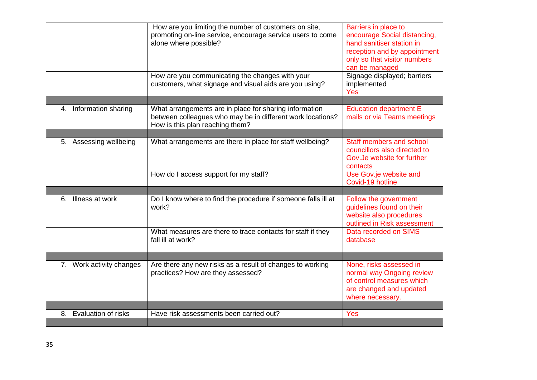|                                  | How are you limiting the number of customers on site,<br>promoting on-line service, encourage service users to come<br>alone where possible?<br>How are you communicating the changes with your<br>customers, what signage and visual aids are you using? | Barriers in place to<br>encourage Social distancing,<br>hand sanitiser station in<br>reception and by appointment<br>only so that visitor numbers<br>can be managed<br>Signage displayed; barriers<br>implemented<br>Yes |
|----------------------------------|-----------------------------------------------------------------------------------------------------------------------------------------------------------------------------------------------------------------------------------------------------------|--------------------------------------------------------------------------------------------------------------------------------------------------------------------------------------------------------------------------|
|                                  |                                                                                                                                                                                                                                                           |                                                                                                                                                                                                                          |
| 4. Information sharing           | What arrangements are in place for sharing information<br>between colleagues who may be in different work locations?<br>How is this plan reaching them?                                                                                                   | <b>Education department E</b><br>mails or via Teams meetings                                                                                                                                                             |
|                                  |                                                                                                                                                                                                                                                           |                                                                                                                                                                                                                          |
| 5. Assessing wellbeing           | What arrangements are there in place for staff wellbeing?                                                                                                                                                                                                 | Staff members and school<br>councillors also directed to<br>Gov. Je website for further<br>contacts                                                                                                                      |
|                                  | How do I access support for my staff?                                                                                                                                                                                                                     | Use Gov.je website and<br>Covid-19 hotline                                                                                                                                                                               |
|                                  |                                                                                                                                                                                                                                                           |                                                                                                                                                                                                                          |
| 6. Illness at work               | Do I know where to find the procedure if someone falls ill at<br>work?                                                                                                                                                                                    | Follow the government<br>guidelines found on their<br>website also procedures<br>outlined in Risk assessment                                                                                                             |
|                                  | What measures are there to trace contacts for staff if they<br>fall ill at work?                                                                                                                                                                          | Data recorded on SIMS<br>database                                                                                                                                                                                        |
|                                  |                                                                                                                                                                                                                                                           |                                                                                                                                                                                                                          |
| 7. Work activity changes         | Are there any new risks as a result of changes to working<br>practices? How are they assessed?                                                                                                                                                            | None, risks assessed in<br>normal way Ongoing review<br>of control measures which<br>are changed and updated<br>where necessary.                                                                                         |
|                                  |                                                                                                                                                                                                                                                           |                                                                                                                                                                                                                          |
| <b>Evaluation of risks</b><br>8. | Have risk assessments been carried out?                                                                                                                                                                                                                   | Yes                                                                                                                                                                                                                      |